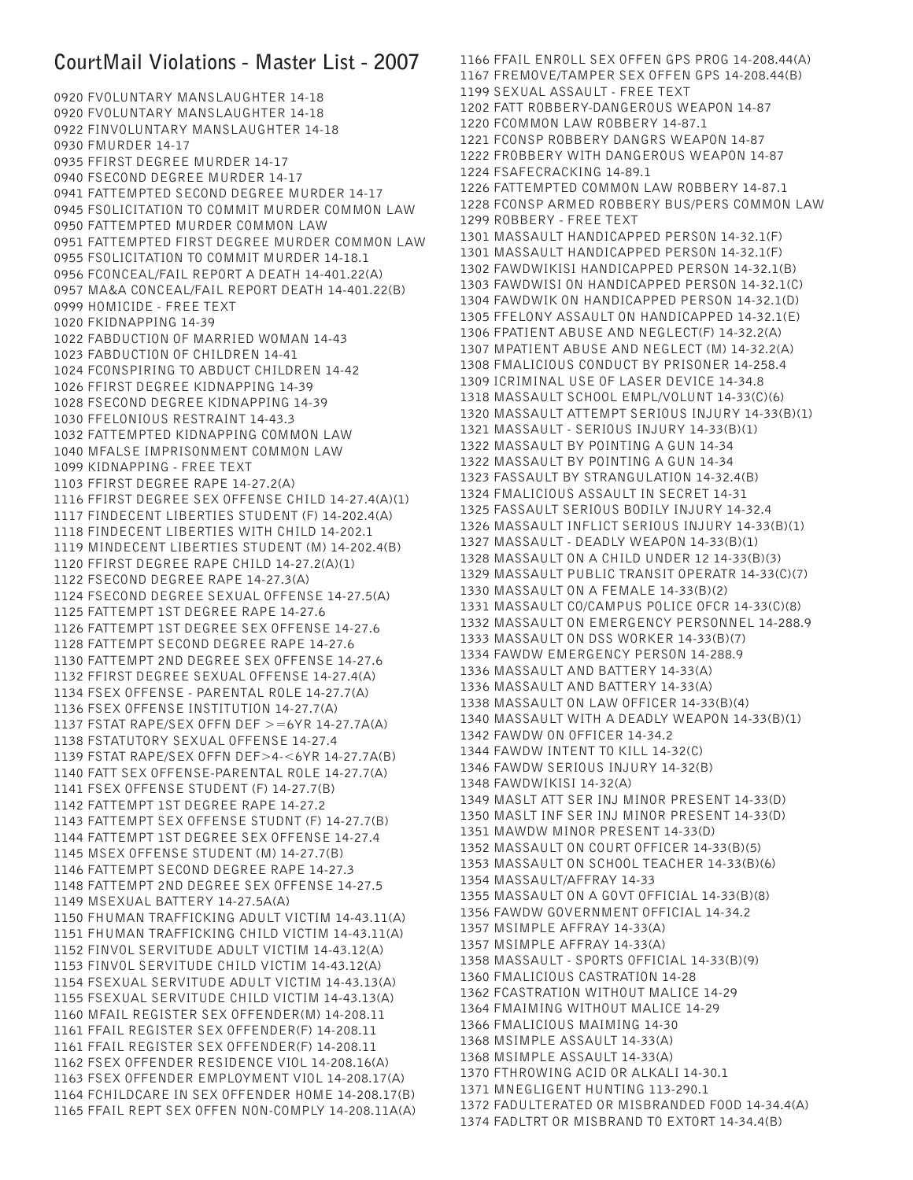## **CourtMail Violations - Master List - 2007**

0920 FVOLUNTARY MANSLAUGHTER 14-18 0920 FVOLUNTARY MANSLAUGHTER 14-18 0922 FINVOLUNTARY MANSLAUGHTER 14-18 0930 FMURDER 14-17 0935 FFIRST DEGREE MURDER 14-17 0940 FSECOND DEGREE MURDER 14-17 0941 FATTEMPTED SECOND DEGREE MURDER 14-17 0945 FSOLICITATION TO COMMIT MURDER COMMON LAW 0950 FATTEMPTED MURDER COMMON LAW 0951 FATTEMPTED FIRST DEGREE MURDER COMMON LAW 0955 FSOLICITATION TO COMMIT MURDER 14-18.1 0956 FCONCEAL/FAIL REPORT A DEATH 14-401.22(A) 0957 MA&A CONCEAL/FAIL REPORT DEATH 14-401.22(B) 0999 HOMICIDE - FREE TEXT 1020 FKIDNAPPING 14-39 1022 FABDUCTION OF MARRIED WOMAN 14-43 1023 FABDUCTION OF CHILDREN 14-41 1024 FCONSPIRING TO ABDUCT CHILDREN 14-42 1026 FFIRST DEGREE KIDNAPPING 14-39 1028 FSECOND DEGREE KIDNAPPING 14-39 1030 FFELONIOUS RESTRAINT 14-43.3 1032 FATTEMPTED KIDNAPPING COMMON LAW 1040 MFALSE IMPRISONMENT COMMON LAW 1099 KIDNAPPING - FREE TEXT 1103 FFIRST DEGREE RAPE 14-27.2(A) 1116 FFIRST DEGREE SEX OFFENSE CHILD 14-27.4(A)(1) 1117 FINDECENT LIBERTIES STUDENT (F) 14-202.4(A) 1118 FINDECENT LIBERTIES WITH CHILD 14-202.1 1119 MINDECENT LIBERTIES STUDENT (M) 14-202.4(B) 1120 FFIRST DEGREE RAPE CHILD 14-27.2(A)(1) 1122 FSECOND DEGREE RAPE 14-27.3(A) 1124 FSECOND DEGREE SEXUAL OFFENSE 14-27.5(A) 1125 FATTEMPT 1ST DEGREE RAPE 14-27.6 1126 FATTEMPT 1ST DEGREE SEX OFFENSE 14-27.6 1128 FATTEMPT SECOND DEGREE RAPE 14-27.6 1130 FATTEMPT 2ND DEGREE SEX OFFENSE 14-27.6 1132 FFIRST DEGREE SEXUAL OFFENSE 14-27.4(A) 1134 FSEX OFFENSE - PARENTAL ROLE 14-27.7(A) 1136 FSEX OFFENSE INSTITUTION 14-27.7(A) 1137 FSTAT RAPE/SEX OFFN DEF >=6YR 14-27.7A(A) 1138 FSTATUTORY SEXUAL OFFENSE 14-27.4 1139 FSTAT RAPE/SEX OFFN DEF>4-<6YR 14-27.7A(B) 1140 FATT SEX OFFENSE-PARENTAL ROLE 14-27.7(A) 1141 FSEX OFFENSE STUDENT (F) 14-27.7(B) 1142 FATTEMPT 1ST DEGREE RAPE 14-27.2 1143 FATTEMPT SEX OFFENSE STUDNT (F) 14-27.7(B) 1144 FATTEMPT 1ST DEGREE SEX OFFENSE 14-27.4 1145 MSEX OFFENSE STUDENT (M) 14-27.7(B) 1146 FATTEMPT SECOND DEGREE RAPE 14-27.3 1148 FATTEMPT 2ND DEGREE SEX OFFENSE 14-27.5 1149 MSEXUAL BATTERY 14-27.5A(A) 1150 FHUMAN TRAFFICKING ADULT VICTIM 14-43.11(A) 1151 FHUMAN TRAFFICKING CHILD VICTIM 14-43.11(A) 1152 FINVOL SERVITUDE ADULT VICTIM 14-43.12(A) 1153 FINVOL SERVITUDE CHILD VICTIM 14-43.12(A) 1154 FSEXUAL SERVITUDE ADULT VICTIM 14-43.13(A) 1155 FSEXUAL SERVITUDE CHILD VICTIM 14-43.13(A) 1160 MFAIL REGISTER SEX OFFENDER(M) 14-208.11 1161 FFAIL REGISTER SEX OFFENDER(F) 14-208.11 1161 FFAIL REGISTER SEX OFFENDER(F) 14-208.11 1162 FSEX OFFENDER RESIDENCE VIOL 14-208.16(A) 1163 FSEX OFFENDER EMPLOYMENT VIOL 14-208.17(A) 1164 FCHILDCARE IN SEX OFFENDER HOME 14-208.17(B) 1165 FFAIL REPT SEX OFFEN NON-COMPLY 14-208.11A(A)

1166 FFAIL ENROLL SEX OFFEN GPS PROG 14-208.44(A) 1167 FREMOVE/TAMPER SEX OFFEN GPS 14-208.44(B) 1199 SEXUAL ASSAULT - FREE TEXT 1202 FATT ROBBERY-DANGEROUS WEAPON 14-87 1220 FCOMMON LAW ROBBERY 14-87.1 1221 FCONSP ROBBERY DANGRS WEAPON 14-87 1222 FROBBERY WITH DANGEROUS WEAPON 14-87 1224 FSAFECRACKING 14-89.1 1226 FATTEMPTED COMMON LAW ROBBERY 14-87.1 1228 FCONSP ARMED ROBBERY BUS/PERS COMMON LAW 1299 ROBBERY - FREE TEXT 1301 MASSAULT HANDICAPPED PERSON 14-32.1(F) 1301 MASSAULT HANDICAPPED PERSON 14-32.1(F) 1302 FAWDWIKISI HANDICAPPED PERSON 14-32.1(B) 1303 FAWDWISI ON HANDICAPPED PERSON 14-32.1(C) 1304 FAWDWIK ON HANDICAPPED PERSON 14-32.1(D) 1305 FFELONY ASSAULT ON HANDICAPPED 14-32.1(E) 1306 FPATIENT ABUSE AND NEGLECT(F) 14-32.2(A) 1307 MPATIENT ABUSE AND NEGLECT (M) 14-32.2(A) 1308 FMALICIOUS CONDUCT BY PRISONER 14-258.4 1309 ICRIMINAL USE OF LASER DEVICE 14-34.8 1318 MASSAULT SCHOOL EMPL/VOLUNT 14-33(C)(6) 1320 MASSAULT ATTEMPT SERIOUS INJURY 14-33(B)(1) 1321 MASSAULT - SERIOUS INJURY 14-33(B)(1) 1322 MASSAULT BY POINTING A GUN 14-34 1322 MASSAULT BY POINTING A GUN 14-34 1323 FASSAULT BY STRANGULATION 14-32.4(B) 1324 FMALICIOUS ASSAULT IN SECRET 14-31 1325 FASSAULT SERIOUS BODILY INJURY 14-32.4 1326 MASSAULT INFLICT SERIOUS INJURY 14-33(B)(1) 1327 MASSAULT - DEADLY WEAPON 14-33(B)(1) 1328 MASSAULT ON A CHILD UNDER 12 14-33(B)(3) 1329 MASSAULT PUBLIC TRANSIT OPERATR 14-33(C)(7) 1330 MASSAULT ON A FEMALE 14-33(B)(2) 1331 MASSAULT CO/CAMPUS POLICE OFCR 14-33(C)(8) 1332 MASSAULT ON EMERGENCY PERSONNEL 14-288.9 1333 MASSAULT ON DSS WORKER 14-33(B)(7) 1334 FAWDW EMERGENCY PERSON 14-288.9 1336 MASSAULT AND BATTERY 14-33(A) 1336 MASSAULT AND BATTERY 14-33(A) 1338 MASSAULT ON LAW OFFICER 14-33(B)(4) 1340 MASSAULT WITH A DEADLY WEAPON 14-33(B)(1) 1342 FAWDW ON OFFICER 14-34.2 1344 FAWDW INTENT TO KILL 14-32(C) 1346 FAWDW SERIOUS INJURY 14-32(B) 1348 FAWDWIKISI 14-32(A) 1349 MASLT ATT SER INJ MINOR PRESENT 14-33(D) 1350 MASLT INF SER INJ MINOR PRESENT 14-33(D) 1351 MAWDW MINOR PRESENT 14-33(D) 1352 MASSAULT ON COURT OFFICER 14-33(B)(5) 1353 MASSAULT ON SCHOOL TEACHER 14-33(B)(6) 1354 MASSAULT/AFFRAY 14-33 1355 MASSAULT ON A GOVT OFFICIAL 14-33(B)(8) 1356 FAWDW GOVERNMENT OFFICIAL 14-34.2 1357 MSIMPLE AFFRAY 14-33(A) 1357 MSIMPLE AFFRAY 14-33(A) 1358 MASSAULT - SPORTS OFFICIAL 14-33(B)(9) 1360 FMALICIOUS CASTRATION 14-28 1362 FCASTRATION WITHOUT MALICE 14-29 1364 FMAIMING WITHOUT MALICE 14-29 1366 FMALICIOUS MAIMING 14-30 1368 MSIMPLE ASSAULT 14-33(A) 1368 MSIMPLE ASSAULT 14-33(A) 1370 FTHROWING ACID OR ALKALI 14-30.1 1371 MNEGLIGENT HUNTING 113-290.1 1372 FADULTERATED OR MISBRANDED FOOD 14-34.4(A) 1374 FADLTRT OR MISBRAND TO EXTORT 14-34.4(B)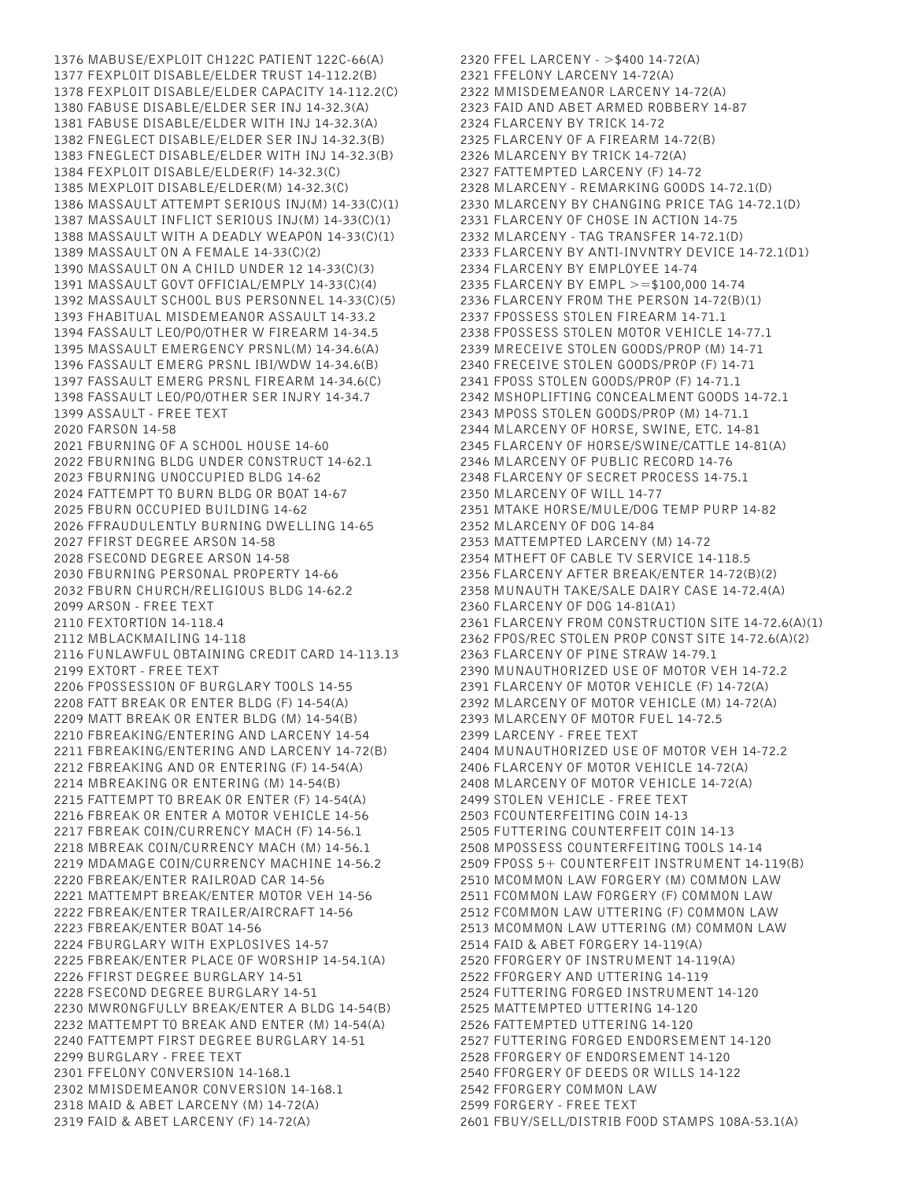1376 MABUSE/EXPLOIT CH122C PATIENT 122C-66(A) 1377 FEXPLOIT DISABLE/ELDER TRUST 14-112.2(B) 1378 FEXPLOIT DISABLE/ELDER CAPACITY 14-112.2(C) 1380 FABUSE DISABLE/ELDER SER INJ 14-32.3(A) 1381 FABUSE DISABLE/ELDER WITH INJ 14-32.3(A) 1382 FNEGLECT DISABLE/ELDER SER INJ 14-32.3(B) 1383 FNEGLECT DISABLE/ELDER WITH INJ 14-32.3(B) 1384 FEXPLOIT DISABLE/ELDER(F) 14-32.3(C) 1385 MEXPLOIT DISABLE/ELDER(M) 14-32.3(C) 1386 MASSAULT ATTEMPT SERIOUS INJ(M) 14-33(C)(1) 1387 MASSAULT INFLICT SERIOUS INJ(M) 14-33(C)(1) 1388 MASSAULT WITH A DEADLY WEAPON 14-33(C)(1) 1389 MASSAULT ON A FEMALE 14-33(C)(2) 1390 MASSAULT ON A CHILD UNDER 12 14-33(C)(3) 1391 MASSAULT GOVT OFFICIAL/EMPLY 14-33(C)(4) 1392 MASSAULT SCHOOL BUS PERSONNEL 14-33(C)(5) 1393 FHABITUAL MISDEMEANOR ASSAULT 14-33.2 1394 FASSAULT LEO/PO/OTHER W FIREARM 14-34.5 1395 MASSAULT EMERGENCY PRSNL(M) 14-34.6(A) 1396 FASSAULT EMERG PRSNL IBI/WDW 14-34.6(B) 1397 FASSAULT EMERG PRSNL FIREARM 14-34.6(C) 1398 FASSAULT LEO/PO/OTHER SER INJRY 14-34.7 1399 ASSAULT - FREE TEXT 2020 FARSON 14-58 2021 FBURNING OF A SCHOOL HOUSE 14-60 2022 FBURNING BLDG UNDER CONSTRUCT 14-62.1 2023 FBURNING UNOCCUPIED BLDG 14-62 2024 FATTEMPT TO BURN BLDG OR BOAT 14-67 2025 FBURN OCCUPIED BUILDING 14-62 2026 FFRAUDULENTLY BURNING DWELLING 14-65 2027 FFIRST DEGREE ARSON 14-58 2028 FSECOND DEGREE ARSON 14-58 2030 FBURNING PERSONAL PROPERTY 14-66 2032 FBURN CHURCH/RELIGIOUS BLDG 14-62.2 2099 ARSON - FREE TEXT 2110 FEXTORTION 14-118.4 2112 MBLACKMAILING 14-118 2116 FUNLAWFUL OBTAINING CREDIT CARD 14-113.13 2199 EXTORT - FREE TEXT 2206 FPOSSESSION OF BURGLARY TOOLS 14-55 2208 FATT BREAK OR ENTER BLDG (F) 14-54(A) 2209 MATT BREAK OR ENTER BLDG (M) 14-54(B) 2210 FBREAKING/ENTERING AND LARCENY 14-54 2211 FBREAKING/ENTERING AND LARCENY 14-72(B) 2212 FBREAKING AND OR ENTERING (F) 14-54(A) 2214 MBREAKING OR ENTERING (M) 14-54(B) 2215 FATTEMPT TO BREAK OR ENTER (F) 14-54(A) 2216 FBREAK OR ENTER A MOTOR VEHICLE 14-56 2217 FBREAK COIN/CURRENCY MACH (F) 14-56.1 2218 MBREAK COIN/CURRENCY MACH (M) 14-56.1 2219 MDAMAGE COIN/CURRENCY MACHINE 14-56.2 2220 FBREAK/ENTER RAILROAD CAR 14-56 2221 MATTEMPT BREAK/ENTER MOTOR VEH 14-56 2222 FBREAK/ENTER TRAILER/AIRCRAFT 14-56 2223 FBREAK/ENTER BOAT 14-56 2224 FBURGLARY WITH EXPLOSIVES 14-57 2225 FBREAK/ENTER PLACE OF WORSHIP 14-54.1(A) 2226 FFIRST DEGREE BURGLARY 14-51 2228 FSECOND DEGREE BURGLARY 14-51 2230 MWRONGFULLY BREAK/ENTER A BLDG 14-54(B) 2232 MATTEMPT TO BREAK AND ENTER (M) 14-54(A) 2240 FATTEMPT FIRST DEGREE BURGLARY 14-51 2299 BURGLARY - FREE TEXT 2301 FFELONY CONVERSION 14-168.1 2302 MMISDEMEANOR CONVERSION 14-168.1 2318 MAID & ABET LARCENY (M) 14-72(A) 2319 FAID & ABET LARCENY (F) 14-72(A)

2320 FFEL LARCENY - >\$400 14-72(A) 2321 FFELONY LARCENY 14-72(A) 2322 MMISDEMEANOR LARCENY 14-72(A) 2323 FAID AND ABET ARMED ROBBERY 14-87 2324 FLARCENY BY TRICK 14-72 2325 FLARCENY OF A FIREARM 14-72(B) 2326 MLARCENY BY TRICK 14-72(A) 2327 FATTEMPTED LARCENY (F) 14-72 2328 MLARCENY - REMARKING GOODS 14-72.1(D) 2330 MLARCENY BY CHANGING PRICE TAG 14-72.1(D) 2331 FLARCENY OF CHOSE IN ACTION 14-75 2332 MLARCENY - TAG TRANSFER 14-72.1(D) 2333 FLARCENY BY ANTI-INVNTRY DEVICE 14-72.1(D1) 2334 FLARCENY BY EMPLOYEE 14-74 2335 FLARCENY BY EMPL >=\$100,000 14-74 2336 FLARCENY FROM THE PERSON 14-72(B)(1) 2337 FPOSSESS STOLEN FIREARM 14-71.1 2338 FPOSSESS STOLEN MOTOR VEHICLE 14-77.1 2339 MRECEIVE STOLEN GOODS/PROP (M) 14-71 2340 FRECEIVE STOLEN GOODS/PROP (F) 14-71 2341 FPOSS STOLEN GOODS/PROP (F) 14-71.1 2342 MSHOPLIFTING CONCEALMENT GOODS 14-72.1 2343 MPOSS STOLEN GOODS/PROP (M) 14-71.1 2344 MLARCENY OF HORSE, SWINE, ETC. 14-81 2345 FLARCENY OF HORSE/SWINE/CATTLE 14-81(A) 2346 MLARCENY OF PUBLIC RECORD 14-76 2348 FLARCENY OF SECRET PROCESS 14-75.1 2350 MLARCENY OF WILL 14-77 2351 MTAKE HORSE/MULE/DOG TEMP PURP 14-82 2352 MLARCENY OF DOG 14-84 2353 MATTEMPTED LARCENY (M) 14-72 2354 MTHEFT OF CABLE TV SERVICE 14-118.5 2356 FLARCENY AFTER BREAK/ENTER 14-72(B)(2) 2358 MUNAUTH TAKE/SALE DAIRY CASE 14-72.4(A) 2360 FLARCENY OF DOG 14-81(A1) 2361 FLARCENY FROM CONSTRUCTION SITE 14-72.6(A)(1) 2362 FPOS/REC STOLEN PROP CONST SITE 14-72.6(A)(2) 2363 FLARCENY OF PINE STRAW 14-79.1 2390 MUNAUTHORIZED USE OF MOTOR VEH 14-72.2 2391 FLARCENY OF MOTOR VEHICLE (F) 14-72(A) 2392 MLARCENY OF MOTOR VEHICLE (M) 14-72(A) 2393 MLARCENY OF MOTOR FUEL 14-72.5 2399 LARCENY - FREE TEXT 2404 MUNAUTHORIZED USE OF MOTOR VEH 14-72.2 2406 FLARCENY OF MOTOR VEHICLE 14-72(A) 2408 MLARCENY OF MOTOR VEHICLE 14-72(A) 2499 STOLEN VEHICLE - FREE TEXT 2503 FCOUNTERFEITING COIN 14-13 2505 FUTTERING COUNTERFEIT COIN 14-13 2508 MPOSSESS COUNTERFEITING TOOLS 14-14 2509 FPOSS 5+ COUNTERFEIT INSTRUMENT 14-119(B) 2510 MCOMMON LAW FORGERY (M) COMMON LAW 2511 FCOMMON LAW FORGERY (F) COMMON LAW 2512 FCOMMON LAW UTTERING (F) COMMON LAW 2513 MCOMMON LAW UTTERING (M) COMMON LAW 2514 FAID & ABET FORGERY 14-119(A) 2520 FFORGERY OF INSTRUMENT 14-119(A) 2522 FFORGERY AND UTTERING 14-119 2524 FUTTERING FORGED INSTRUMENT 14-120 2525 MATTEMPTED UTTERING 14-120 2526 FATTEMPTED UTTERING 14-120 2527 FUTTERING FORGED ENDORSEMENT 14-120 2528 FFORGERY OF ENDORSEMENT 14-120 2540 FFORGERY OF DEEDS OR WILLS 14-122 2542 FFORGERY COMMON LAW 2599 FORGERY - FREE TEXT 2601 FBUY/SELL/DISTRIB FOOD STAMPS 108A-53.1(A)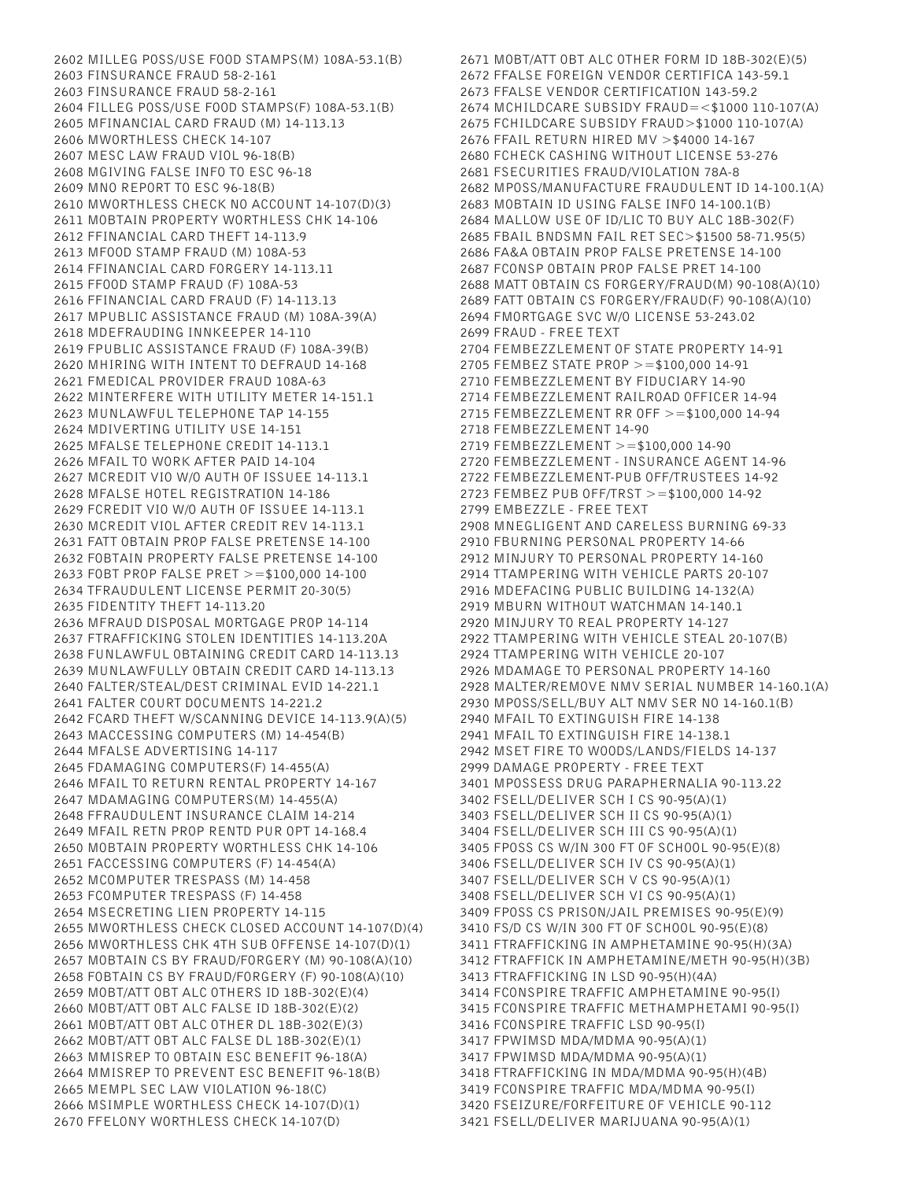2602 MILLEG POSS/USE FOOD STAMPS(M) 108A-53.1(B) 2603 FINSURANCE FRAUD 58-2-161 2603 FINSURANCE FRAUD 58-2-161 2604 FILLEG POSS/USE FOOD STAMPS(F) 108A-53.1(B) 2605 MFINANCIAL CARD FRAUD (M) 14-113.13 2606 MWORTHLESS CHECK 14-107 2607 MESC LAW FRAUD VIOL 96-18(B) 2608 MGIVING FALSE INFO TO ESC 96-18 2609 MNO REPORT TO ESC 96-18(B) 2610 MWORTHLESS CHECK NO ACCOUNT 14-107(D)(3) 2611 MOBTAIN PROPERTY WORTHLESS CHK 14-106 2612 FFINANCIAL CARD THEFT 14-113.9 2613 MFOOD STAMP FRAUD (M) 108A-53 2614 FFINANCIAL CARD FORGERY 14-113.11 2615 FFOOD STAMP FRAUD (F) 108A-53 2616 FFINANCIAL CARD FRAUD (F) 14-113.13 2617 MPUBLIC ASSISTANCE FRAUD (M) 108A-39(A) 2618 MDEFRAUDING INNKEEPER 14-110 2619 FPUBLIC ASSISTANCE FRAUD (F) 108A-39(B) 2620 MHIRING WITH INTENT TO DEFRAUD 14-168 2621 FMEDICAL PROVIDER FRAUD 108A-63 2622 MINTERFERE WITH UTILITY METER 14-151.1 2623 MUNLAWFUL TELEPHONE TAP 14-155 2624 MDIVERTING UTILITY USE 14-151 2625 MFALSE TELEPHONE CREDIT 14-113.1 2626 MFAIL TO WORK AFTER PAID 14-104 2627 MCREDIT VIO W/O AUTH OF ISSUEE 14-113.1 2628 MFALSE HOTEL REGISTRATION 14-186 2629 FCREDIT VIO W/O AUTH OF ISSUEE 14-113.1 2630 MCREDIT VIOL AFTER CREDIT REV 14-113.1 2631 FATT OBTAIN PROP FALSE PRETENSE 14-100 2632 FOBTAIN PROPERTY FALSE PRETENSE 14-100 2633 FOBT PROP FALSE PRET >=\$100,000 14-100 2634 TFRAUDULENT LICENSE PERMIT 20-30(5) 2635 FIDENTITY THEFT 14-113.20 2636 MFRAUD DISPOSAL MORTGAGE PROP 14-114 2637 FTRAFFICKING STOLEN IDENTITIES 14-113.20A 2638 FUNLAWFUL OBTAINING CREDIT CARD 14-113.13 2639 MUNLAWFULLY OBTAIN CREDIT CARD 14-113.13 2640 FALTER/STEAL/DEST CRIMINAL EVID 14-221.1 2641 FALTER COURT DOCUMENTS 14-221.2 2642 FCARD THEFT W/SCANNING DEVICE 14-113.9(A)(5) 2643 MACCESSING COMPUTERS (M) 14-454(B) 2644 MFALSE ADVERTISING 14-117 2645 FDAMAGING COMPUTERS(F) 14-455(A) 2646 MFAIL TO RETURN RENTAL PROPERTY 14-167 2647 MDAMAGING COMPUTERS(M) 14-455(A) 2648 FFRAUDULENT INSURANCE CLAIM 14-214 2649 MFAIL RETN PROP RENTD PUR OPT 14-168.4 2650 MOBTAIN PROPERTY WORTHLESS CHK 14-106 2651 FACCESSING COMPUTERS (F) 14-454(A) 2652 MCOMPUTER TRESPASS (M) 14-458 2653 FCOMPUTER TRESPASS (F) 14-458 2654 MSECRETING LIEN PROPERTY 14-115 2655 MWORTHLESS CHECK CLOSED ACCOUNT 14-107(D)(4) 2656 MWORTHLESS CHK 4TH SUB OFFENSE 14-107(D)(1) 2657 MOBTAIN CS BY FRAUD/FORGERY (M) 90-108(A)(10) 2658 FOBTAIN CS BY FRAUD/FORGERY (F) 90-108(A)(10) 2659 MOBT/ATT OBT ALC OTHERS ID 18B-302(E)(4) 2660 MOBT/ATT OBT ALC FALSE ID 18B-302(E)(2) 2661 MOBT/ATT OBT ALC OTHER DL 18B-302(E)(3) 2662 MOBT/ATT OBT ALC FALSE DL 18B-302(E)(1) 2663 MMISREP TO OBTAIN ESC BENEFIT 96-18(A) 2664 MMISREP TO PREVENT ESC BENEFIT 96-18(B) 2665 MEMPL SEC LAW VIOLATION 96-18(C) 2666 MSIMPLE WORTHLESS CHECK 14-107(D)(1) 2670 FFELONY WORTHLESS CHECK 14-107(D)

2671 MOBT/ATT OBT ALC OTHER FORM ID 18B-302(E)(5) 2672 FFALSE FOREIGN VENDOR CERTIFICA 143-59.1 2673 FFALSE VENDOR CERTIFICATION 143-59.2 2674 MCHILDCARE SUBSIDY FRAUD=<\$1000 110-107(A) 2675 FCHILDCARE SUBSIDY FRAUD>\$1000 110-107(A) 2676 FFAIL RETURN HIRED MV >\$4000 14-167 2680 FCHECK CASHING WITHOUT LICENSE 53-276 2681 FSECURITIES FRAUD/VIOLATION 78A-8 2682 MPOSS/MANUFACTURE FRAUDULENT ID 14-100.1(A) 2683 MOBTAIN ID USING FALSE INFO 14-100.1(B) 2684 MALLOW USE OF ID/LIC TO BUY ALC 18B-302(F) 2685 FBAIL BNDSMN FAIL RET SEC>\$1500 58-71.95(5) 2686 FA&A OBTAIN PROP FALSE PRETENSE 14-100 2687 FCONSP OBTAIN PROP FALSE PRET 14-100 2688 MATT OBTAIN CS FORGERY/FRAUD(M) 90-108(A)(10) 2689 FATT OBTAIN CS FORGERY/FRAUD(F) 90-108(A)(10) 2694 FMORTGAGE SVC W/O LICENSE 53-243.02 2699 FRAUD - FREE TEXT 2704 FEMBEZZLEMENT OF STATE PROPERTY 14-91 2705 FEMBEZ STATE PROP >=\$100,000 14-91 2710 FEMBEZZLEMENT BY FIDUCIARY 14-90 2714 FEMBEZZLEMENT RAILROAD OFFICER 14-94 2715 FEMBEZZLEMENT RR OFF >=\$100,000 14-94 2718 FEMBEZZLEMENT 14-90 2719 FEMBEZZLEMENT >=\$100,000 14-90 2720 FEMBEZZLEMENT - INSURANCE AGENT 14-96 2722 FEMBEZZLEMENT-PUB OFF/TRUSTEES 14-92 2723 FEMBEZ PUB OFF/TRST >=\$100,000 14-92 2799 EMBEZZLE - FREE TEXT 2908 MNEGLIGENT AND CARELESS BURNING 69-33 2910 FBURNING PERSONAL PROPERTY 14-66 2912 MINJURY TO PERSONAL PROPERTY 14-160 2914 TTAMPERING WITH VEHICLE PARTS 20-107 2916 MDEFACING PUBLIC BUILDING 14-132(A) 2919 MBURN WITHOUT WATCHMAN 14-140.1 2920 MINJURY TO REAL PROPERTY 14-127 2922 TTAMPERING WITH VEHICLE STEAL 20-107(B) 2924 TTAMPERING WITH VEHICLE 20-107 2926 MDAMAGE TO PERSONAL PROPERTY 14-160 2928 MALTER/REMOVE NMV SERIAL NUMBER 14-160.1(A) 2930 MPOSS/SELL/BUY ALT NMV SER NO 14-160.1(B) 2940 MFAIL TO EXTINGUISH FIRE 14-138 2941 MFAIL TO EXTINGUISH FIRE 14-138.1 2942 MSET FIRE TO WOODS/LANDS/FIELDS 14-137 2999 DAMAGE PROPERTY - FREE TEXT 3401 MPOSSESS DRUG PARAPHERNALIA 90-113.22 3402 FSELL/DELIVER SCH I CS 90-95(A)(1) 3403 FSELL/DELIVER SCH II CS 90-95(A)(1) 3404 FSELL/DELIVER SCH III CS 90-95(A)(1) 3405 FPOSS CS W/IN 300 FT OF SCHOOL 90-95(E)(8) 3406 FSELL/DELIVER SCH IV CS 90-95(A)(1) 3407 FSELL/DELIVER SCH V CS 90-95(A)(1) 3408 FSELL/DELIVER SCH VI CS 90-95(A)(1) 3409 FPOSS CS PRISON/JAIL PREMISES 90-95(E)(9) 3410 FS/D CS W/IN 300 FT OF SCHOOL 90-95(E)(8) 3411 FTRAFFICKING IN AMPHETAMINE 90-95(H)(3A) 3412 FTRAFFICK IN AMPHETAMINE/METH 90-95(H)(3B) 3413 FTRAFFICKING IN LSD 90-95(H)(4A) 3414 FCONSPIRE TRAFFIC AMPHETAMINE 90-95(I) 3415 FCONSPIRE TRAFFIC METHAMPHETAMI 90-95(I) 3416 FCONSPIRE TRAFFIC LSD 90-95(I) 3417 FPWIMSD MDA/MDMA 90-95(A)(1) 3417 FPWIMSD MDA/MDMA 90-95(A)(1) 3418 FTRAFFICKING IN MDA/MDMA 90-95(H)(4B) 3419 FCONSPIRE TRAFFIC MDA/MDMA 90-95(I) 3420 FSEIZURE/FORFEITURE OF VEHICLE 90-112 3421 FSELL/DELIVER MARIJUANA 90-95(A)(1)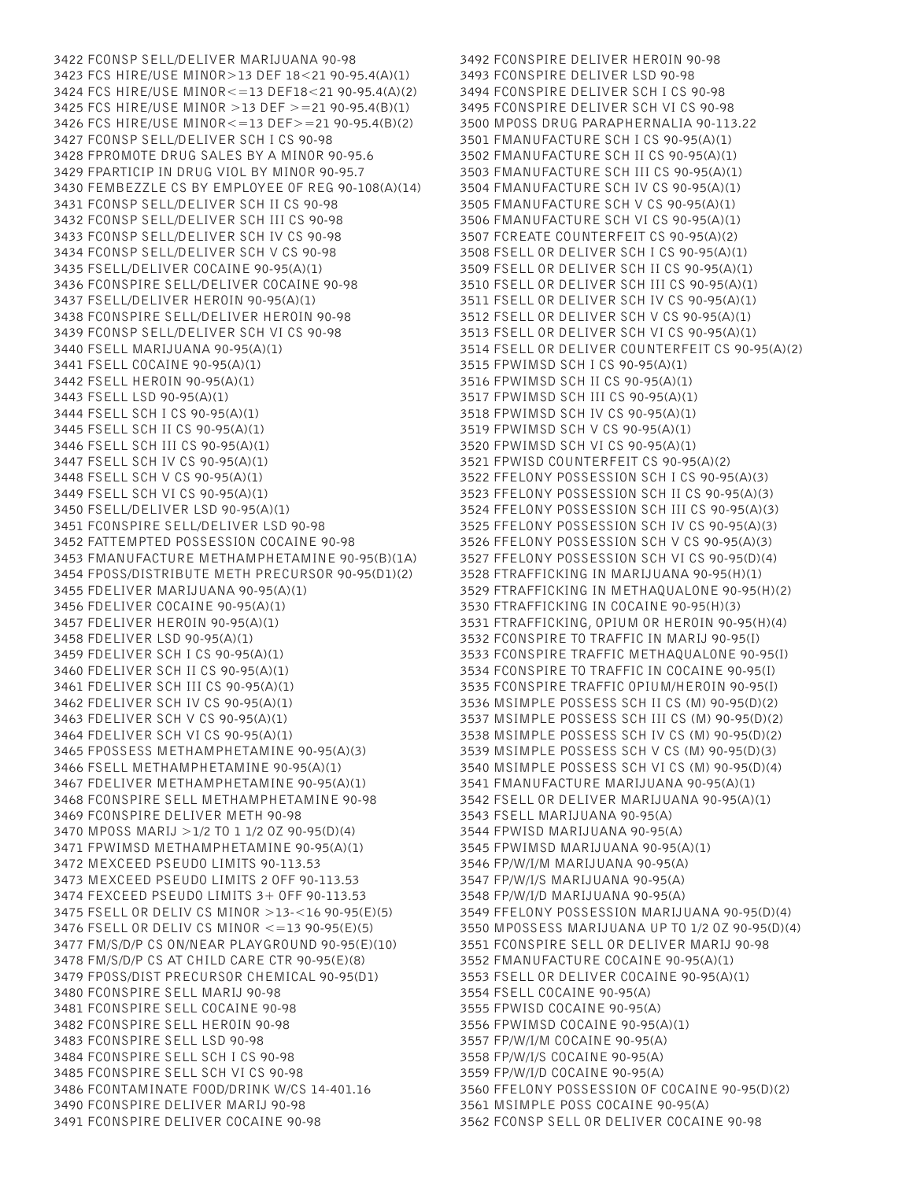3422 FCONSP SELL/DELIVER MARIJUANA 90-98 3423 FCS HIRE/USE MINOR>13 DEF 18<21 90-95.4(A)(1) 3424 FCS HIRE/USE MINOR<=13 DEF18<21 90-95.4(A)(2) 3425 FCS HIRE/USE MINOR >13 DEF >=21 90-95.4(B)(1) 3426 FCS HIRE/USE MINOR<=13 DEF>=21 90-95.4(B)(2) 3427 FCONSP SELL/DELIVER SCH I CS 90-98 3428 FPROMOTE DRUG SALES BY A MINOR 90-95.6 3429 FPARTICIP IN DRUG VIOL BY MINOR 90-95.7 3430 FEMBEZZLE CS BY EMPLOYEE OF REG 90-108(A)(14) 3431 FCONSP SELL/DELIVER SCH II CS 90-98 3432 FCONSP SELL/DELIVER SCH III CS 90-98 3433 FCONSP SELL/DELIVER SCH IV CS 90-98 3434 FCONSP SELL/DELIVER SCH V CS 90-98 3435 FSELL/DELIVER COCAINE 90-95(A)(1) 3436 FCONSPIRE SELL/DELIVER COCAINE 90-98 3437 FSELL/DELIVER HEROIN 90-95(A)(1) 3438 FCONSPIRE SELL/DELIVER HEROIN 90-98 3439 FCONSP SELL/DELIVER SCH VI CS 90-98 3440 FSELL MARIJUANA 90-95(A)(1) 3441 FSELL COCAINE 90-95(A)(1) 3442 FSELL HEROIN 90-95(A)(1) 3443 FSELL LSD 90-95(A)(1) 3444 FSELL SCH I CS 90-95(A)(1) 3445 FSELL SCH II CS 90-95(A)(1) 3446 FSELL SCH III CS 90-95(A)(1) 3447 FSELL SCH IV CS 90-95(A)(1) 3448 FSELL SCH V CS 90-95(A)(1) 3449 FSELL SCH VI CS 90-95(A)(1) 3450 FSELL/DELIVER LSD 90-95(A)(1) 3451 FCONSPIRE SELL/DELIVER LSD 90-98 3452 FATTEMPTED POSSESSION COCAINE 90-98 3453 FMANUFACTURE METHAMPHETAMINE 90-95(B)(1A) 3454 FPOSS/DISTRIBUTE METH PRECURSOR 90-95(D1)(2) 3455 FDELIVER MARIJUANA 90-95(A)(1) 3456 FDELIVER COCAINE 90-95(A)(1) 3457 FDELIVER HEROIN 90-95(A)(1) 3458 FDELIVER LSD 90-95(A)(1) 3459 FDELIVER SCH I CS 90-95(A)(1) 3460 FDELIVER SCH II CS 90-95(A)(1) 3461 FDELIVER SCH III CS 90-95(A)(1) 3462 FDELIVER SCH IV CS 90-95(A)(1) 3463 FDELIVER SCH V CS 90-95(A)(1) 3464 FDELIVER SCH VI CS 90-95(A)(1) 3465 FPOSSESS METHAMPHETAMINE 90-95(A)(3) 3466 FSELL METHAMPHETAMINE 90-95(A)(1) 3467 FDELIVER METHAMPHETAMINE 90-95(A)(1) 3468 FCONSPIRE SELL METHAMPHETAMINE 90-98 3469 FCONSPIRE DELIVER METH 90-98 3470 MPOSS MARIJ >1/2 TO 1 1/2 OZ 90-95(D)(4) 3471 FPWIMSD METHAMPHETAMINE 90-95(A)(1) 3472 MEXCEED PSEUDO LIMITS 90-113.53 3473 MEXCEED PSEUDO LIMITS 2 OFF 90-113.53 3474 FEXCEED PSEUDO LIMITS 3+ OFF 90-113.53 3475 FSELL OR DELIV CS MINOR >13-<16 90-95(E)(5) 3476 FSELL OR DELIV CS MINOR <=13 90-95(E)(5) 3477 FM/S/D/P CS ON/NEAR PLAYGROUND 90-95(E)(10) 3478 FM/S/D/P CS AT CHILD CARE CTR 90-95(E)(8) 3479 FPOSS/DIST PRECURSOR CHEMICAL 90-95(D1) 3480 FCONSPIRE SELL MARIJ 90-98 3481 FCONSPIRE SELL COCAINE 90-98 3482 FCONSPIRE SELL HEROIN 90-98 3483 FCONSPIRE SELL LSD 90-98 3484 FCONSPIRE SELL SCH I CS 90-98 3485 FCONSPIRE SELL SCH VI CS 90-98 3486 FCONTAMINATE FOOD/DRINK W/CS 14-401.16 3490 FCONSPIRE DELIVER MARIJ 90-98 3491 FCONSPIRE DELIVER COCAINE 90-98

3492 FCONSPIRE DELIVER HEROIN 90-98 3493 FCONSPIRE DELIVER LSD 90-98 3494 FCONSPIRE DELIVER SCH I CS 90-98 3495 FCONSPIRE DELIVER SCH VI CS 90-98 3500 MPOSS DRUG PARAPHERNALIA 90-113.22 3501 FMANUFACTURE SCH I CS 90-95(A)(1) 3502 FMANUFACTURE SCH II CS 90-95(A)(1) 3503 FMANUFACTURE SCH III CS 90-95(A)(1) 3504 FMANUFACTURE SCH IV CS 90-95(A)(1) 3505 FMANUFACTURE SCH V CS 90-95(A)(1) 3506 FMANUFACTURE SCH VI CS 90-95(A)(1) 3507 FCREATE COUNTERFEIT CS 90-95(A)(2) 3508 FSELL OR DELIVER SCH I CS 90-95(A)(1) 3509 FSELL OR DELIVER SCH II CS 90-95(A)(1) 3510 FSELL OR DELIVER SCH III CS 90-95(A)(1) 3511 FSELL OR DELIVER SCH IV CS 90-95(A)(1) 3512 FSELL OR DELIVER SCH V CS 90-95(A)(1) 3513 FSELL OR DELIVER SCH VI CS 90-95(A)(1) 3514 FSELL OR DELIVER COUNTERFEIT CS 90-95(A)(2) 3515 FPWIMSD SCH I CS 90-95(A)(1) 3516 FPWIMSD SCH II CS 90-95(A)(1) 3517 FPWIMSD SCH III CS 90-95(A)(1) 3518 FPWIMSD SCH IV CS 90-95(A)(1) 3519 FPWIMSD SCH V CS 90-95(A)(1) 3520 FPWIMSD SCH VI CS 90-95(A)(1) 3521 FPWISD COUNTERFEIT CS 90-95(A)(2) 3522 FFELONY POSSESSION SCH I CS 90-95(A)(3) 3523 FFELONY POSSESSION SCH II CS 90-95(A)(3) 3524 FFELONY POSSESSION SCH III CS 90-95(A)(3) 3525 FFELONY POSSESSION SCH IV CS 90-95(A)(3) 3526 FFELONY POSSESSION SCH V CS 90-95(A)(3) 3527 FFELONY POSSESSION SCH VI CS 90-95(D)(4) 3528 FTRAFFICKING IN MARIJUANA 90-95(H)(1) 3529 FTRAFFICKING IN METHAQUALONE 90-95(H)(2) 3530 FTRAFFICKING IN COCAINE 90-95(H)(3) 3531 FTRAFFICKING, OPIUM OR HEROIN 90-95(H)(4) 3532 FCONSPIRE TO TRAFFIC IN MARIJ 90-95(I) 3533 FCONSPIRE TRAFFIC METHAQUALONE 90-95(I) 3534 FCONSPIRE TO TRAFFIC IN COCAINE 90-95(I) 3535 FCONSPIRE TRAFFIC OPIUM/HEROIN 90-95(I) 3536 MSIMPLE POSSESS SCH II CS (M) 90-95(D)(2) 3537 MSIMPLE POSSESS SCH III CS (M) 90-95(D)(2) 3538 MSIMPLE POSSESS SCH IV CS (M) 90-95(D)(2) 3539 MSIMPLE POSSESS SCH V CS (M) 90-95(D)(3) 3540 MSIMPLE POSSESS SCH VI CS (M) 90-95(D)(4) 3541 FMANUFACTURE MARIJUANA 90-95(A)(1) 3542 FSELL OR DELIVER MARIJUANA 90-95(A)(1) 3543 FSELL MARIJUANA 90-95(A) 3544 FPWISD MARIJUANA 90-95(A) 3545 FPWIMSD MARIJUANA 90-95(A)(1) 3546 FP/W/I/M MARIJUANA 90-95(A) 3547 FP/W/I/S MARIJUANA 90-95(A) 3548 FP/W/I/D MARIJUANA 90-95(A) 3549 FFELONY POSSESSION MARIJUANA 90-95(D)(4) 3550 MPOSSESS MARIJUANA UP TO 1/2 OZ 90-95(D)(4) 3551 FCONSPIRE SELL OR DELIVER MARIJ 90-98 3552 FMANUFACTURE COCAINE 90-95(A)(1) 3553 FSELL OR DELIVER COCAINE 90-95(A)(1) 3554 FSELL COCAINE 90-95(A) 3555 FPWISD COCAINE 90-95(A) 3556 FPWIMSD COCAINE 90-95(A)(1) 3557 FP/W/I/M COCAINE 90-95(A) 3558 FP/W/I/S COCAINE 90-95(A) 3559 FP/W/I/D COCAINE 90-95(A) 3560 FFELONY POSSESSION OF COCAINE 90-95(D)(2) 3561 MSIMPLE POSS COCAINE 90-95(A) 3562 FCONSP SELL OR DELIVER COCAINE 90-98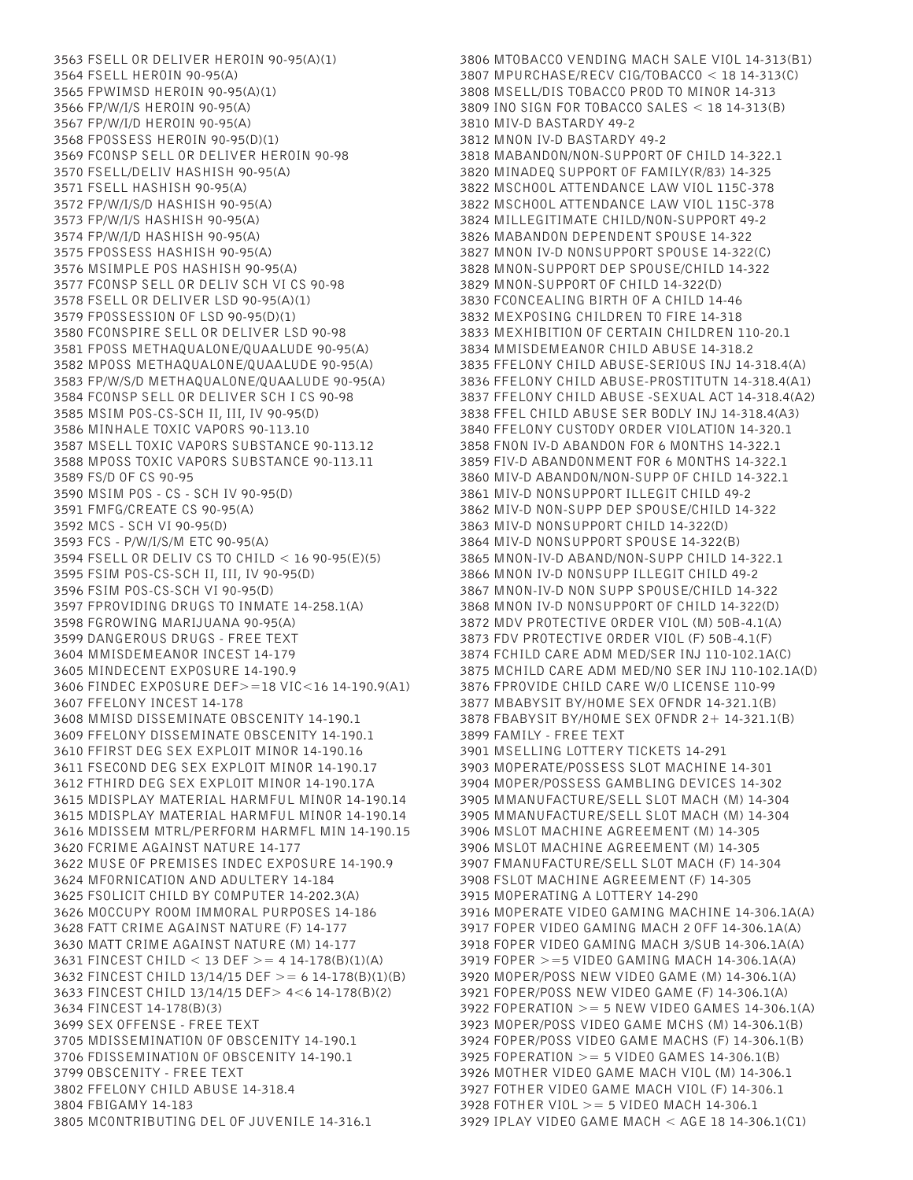3563 FSELL OR DELIVER HEROIN 90-95(A)(1) 3564 FSELL HEROIN 90-95(A) 3565 FPWIMSD HEROIN 90-95(A)(1) 3566 FP/W/I/S HEROIN 90-95(A) 3567 FP/W/I/D HEROIN 90-95(A) 3568 FPOSSESS HEROIN 90-95(D)(1) 3569 FCONSP SELL OR DELIVER HEROIN 90-98 3570 FSELL/DELIV HASHISH 90-95(A) 3571 FSELL HASHISH 90-95(A) 3572 FP/W/I/S/D HASHISH 90-95(A) 3573 FP/W/I/S HASHISH 90-95(A) 3574 FP/W/I/D HASHISH 90-95(A) 3575 FPOSSESS HASHISH 90-95(A) 3576 MSIMPLE POS HASHISH 90-95(A) 3577 FCONSP SELL OR DELIV SCH VI CS 90-98 3578 FSELL OR DELIVER LSD 90-95(A)(1) 3579 FPOSSESSION OF LSD 90-95(D)(1) 3580 FCONSPIRE SELL OR DELIVER LSD 90-98 3581 FPOSS METHAQUALONE/QUAALUDE 90-95(A) 3582 MPOSS METHAQUALONE/QUAALUDE 90-95(A) 3583 FP/W/S/D METHAQUALONE/QUAALUDE 90-95(A) 3584 FCONSP SELL OR DELIVER SCH I CS 90-98 3585 MSIM POS-CS-SCH II, III, IV 90-95(D) 3586 MINHALE TOXIC VAPORS 90-113.10 3587 MSELL TOXIC VAPORS SUBSTANCE 90-113.12 3588 MPOSS TOXIC VAPORS SUBSTANCE 90-113.11 3589 FS/D OF CS 90-95 3590 MSIM POS - CS - SCH IV 90-95(D) 3591 FMFG/CREATE CS 90-95(A) 3592 MCS - SCH VI 90-95(D) 3593 FCS - P/W/I/S/M ETC 90-95(A) 3594 FSELL OR DELIV CS TO CHILD < 16 90-95(E)(5) 3595 FSIM POS-CS-SCH II, III, IV 90-95(D) 3596 FSIM POS-CS-SCH VI 90-95(D) 3597 FPROVIDING DRUGS TO INMATE 14-258.1(A) 3598 FGROWING MARIJUANA 90-95(A) 3599 DANGEROUS DRUGS - FREE TEXT 3604 MMISDEMEANOR INCEST 14-179 3605 MINDECENT EXPOSURE 14-190.9 3606 FINDEC EXPOSURE DEF>=18 VIC<16 14-190.9(A1) 3607 FFELONY INCEST 14-178 3608 MMISD DISSEMINATE OBSCENITY 14-190.1 3609 FFELONY DISSEMINATE OBSCENITY 14-190.1 3610 FFIRST DEG SEX EXPLOIT MINOR 14-190.16 3611 FSECOND DEG SEX EXPLOIT MINOR 14-190.17 3612 FTHIRD DEG SEX EXPLOIT MINOR 14-190.17A 3615 MDISPLAY MATERIAL HARMFUL MINOR 14-190.14 3615 MDISPLAY MATERIAL HARMFUL MINOR 14-190.14 3616 MDISSEM MTRL/PERFORM HARMFL MIN 14-190.15 3620 FCRIME AGAINST NATURE 14-177 3622 MUSE OF PREMISES INDEC EXPOSURE 14-190.9 3624 MFORNICATION AND ADULTERY 14-184 3625 FSOLICIT CHILD BY COMPUTER 14-202.3(A) 3626 MOCCUPY ROOM IMMORAL PURPOSES 14-186 3628 FATT CRIME AGAINST NATURE (F) 14-177 3630 MATT CRIME AGAINST NATURE (M) 14-177 3631 FINCEST CHILD < 13 DEF > = 4 14-178(B)(1)(A) 3632 FINCEST CHILD 13/14/15 DEF >= 6 14-178(B)(1)(B) 3633 FINCEST CHILD 13/14/15 DEF> 4<6 14-178(B)(2) 3634 FINCEST 14-178(B)(3) 3699 SEX OFFENSE - FREE TEXT 3705 MDISSEMINATION OF OBSCENITY 14-190.1 3706 FDISSEMINATION OF OBSCENITY 14-190.1 3799 OBSCENITY - FREE TEXT 3802 FFELONY CHILD ABUSE 14-318.4 3804 FBIGAMY 14-183 3805 MCONTRIBUTING DEL OF JUVENILE 14-316.1

3806 MTOBACCO VENDING MACH SALE VIOL 14-313(B1) 3807 MPURCHASE/RECV CIG/TOBACCO < 18 14-313(C) 3808 MSELL/DIS TOBACCO PROD TO MINOR 14-313 3809 INO SIGN FOR TOBACCO SALES < 18 14-313(B) 3810 MIV-D BASTARDY 49-2 3812 MNON IV-D BASTARDY 49-2 3818 MABANDON/NON-SUPPORT OF CHILD 14-322.1 3820 MINADEQ SUPPORT OF FAMILY(R/83) 14-325 3822 MSCHOOL ATTENDANCE LAW VIOL 115C-378 3822 MSCHOOL ATTENDANCE LAW VIOL 115C-378 3824 MILLEGITIMATE CHILD/NON-SUPPORT 49-2 3826 MABANDON DEPENDENT SPOUSE 14-322 3827 MNON IV-D NONSUPPORT SPOUSE 14-322(C) 3828 MNON-SUPPORT DEP SPOUSE/CHILD 14-322 3829 MNON-SUPPORT OF CHILD 14-322(D) 3830 FCONCEALING BIRTH OF A CHILD 14-46 3832 MEXPOSING CHILDREN TO FIRE 14-318 3833 MEXHIBITION OF CERTAIN CHILDREN 110-20.1 3834 MMISDEMEANOR CHILD ABUSE 14-318.2 3835 FFELONY CHILD ABUSE-SERIOUS INJ 14-318.4(A) 3836 FFELONY CHILD ABUSE-PROSTITUTN 14-318.4(A1) 3837 FFELONY CHILD ABUSE -SEXUAL ACT 14-318.4(A2) 3838 FFEL CHILD ABUSE SER BODLY INJ 14-318.4(A3) 3840 FFELONY CUSTODY ORDER VIOLATION 14-320.1 3858 FNON IV-D ABANDON FOR 6 MONTHS 14-322.1 3859 FIV-D ABANDONMENT FOR 6 MONTHS 14-322.1 3860 MIV-D ABANDON/NON-SUPP OF CHILD 14-322.1 3861 MIV-D NONSUPPORT ILLEGIT CHILD 49-2 3862 MIV-D NON-SUPP DEP SPOUSE/CHILD 14-322 3863 MIV-D NONSUPPORT CHILD 14-322(D) 3864 MIV-D NONSUPPORT SPOUSE 14-322(B) 3865 MNON-IV-D ABAND/NON-SUPP CHILD 14-322.1 3866 MNON IV-D NONSUPP ILLEGIT CHILD 49-2 3867 MNON-IV-D NON SUPP SPOUSE/CHILD 14-322 3868 MNON IV-D NONSUPPORT OF CHILD 14-322(D) 3872 MDV PROTECTIVE ORDER VIOL (M) 50B-4.1(A) 3873 FDV PROTECTIVE ORDER VIOL (F) 50B-4.1(F) 3874 FCHILD CARE ADM MED/SER INJ 110-102.1A(C) 3875 MCHILD CARE ADM MED/NO SER INJ 110-102.1A(D) 3876 FPROVIDE CHILD CARE W/O LICENSE 110-99 3877 MBABYSIT BY/HOME SEX OFNDR 14-321.1(B) 3878 FBABYSIT BY/HOME SEX OFNDR 2+ 14-321.1(B) 3899 FAMILY - FREE TEXT 3901 MSELLING LOTTERY TICKETS 14-291 3903 MOPERATE/POSSESS SLOT MACHINE 14-301 3904 MOPER/POSSESS GAMBLING DEVICES 14-302 3905 MMANUFACTURE/SELL SLOT MACH (M) 14-304 3905 MMANUFACTURE/SELL SLOT MACH (M) 14-304 3906 MSLOT MACHINE AGREEMENT (M) 14-305 3906 MSLOT MACHINE AGREEMENT (M) 14-305 3907 FMANUFACTURE/SELL SLOT MACH (F) 14-304 3908 FSLOT MACHINE AGREEMENT (F) 14-305 3915 MOPERATING A LOTTERY 14-290 3916 MOPERATE VIDEO GAMING MACHINE 14-306.1A(A) 3917 FOPER VIDEO GAMING MACH 2 OFF 14-306.1A(A) 3918 FOPER VIDEO GAMING MACH 3/SUB 14-306.1A(A) 3919 FOPER >=5 VIDEO GAMING MACH 14-306.1A(A) 3920 MOPER/POSS NEW VIDEO GAME (M) 14-306.1(A) 3921 FOPER/POSS NEW VIDEO GAME (F) 14-306.1(A) 3922 FOPERATION >= 5 NEW VIDEO GAMES 14-306.1(A) 3923 MOPER/POSS VIDEO GAME MCHS (M) 14-306.1(B) 3924 FOPER/POSS VIDEO GAME MACHS (F) 14-306.1(B) 3925 FOPERATION >= 5 VIDEO GAMES 14-306.1(B) 3926 MOTHER VIDEO GAME MACH VIOL (M) 14-306.1 3927 FOTHER VIDEO GAME MACH VIOL (F) 14-306.1 3928 FOTHER VIOL >= 5 VIDEO MACH 14-306.1 3929 IPLAY VIDEO GAME MACH < AGE 18 14-306.1(C1)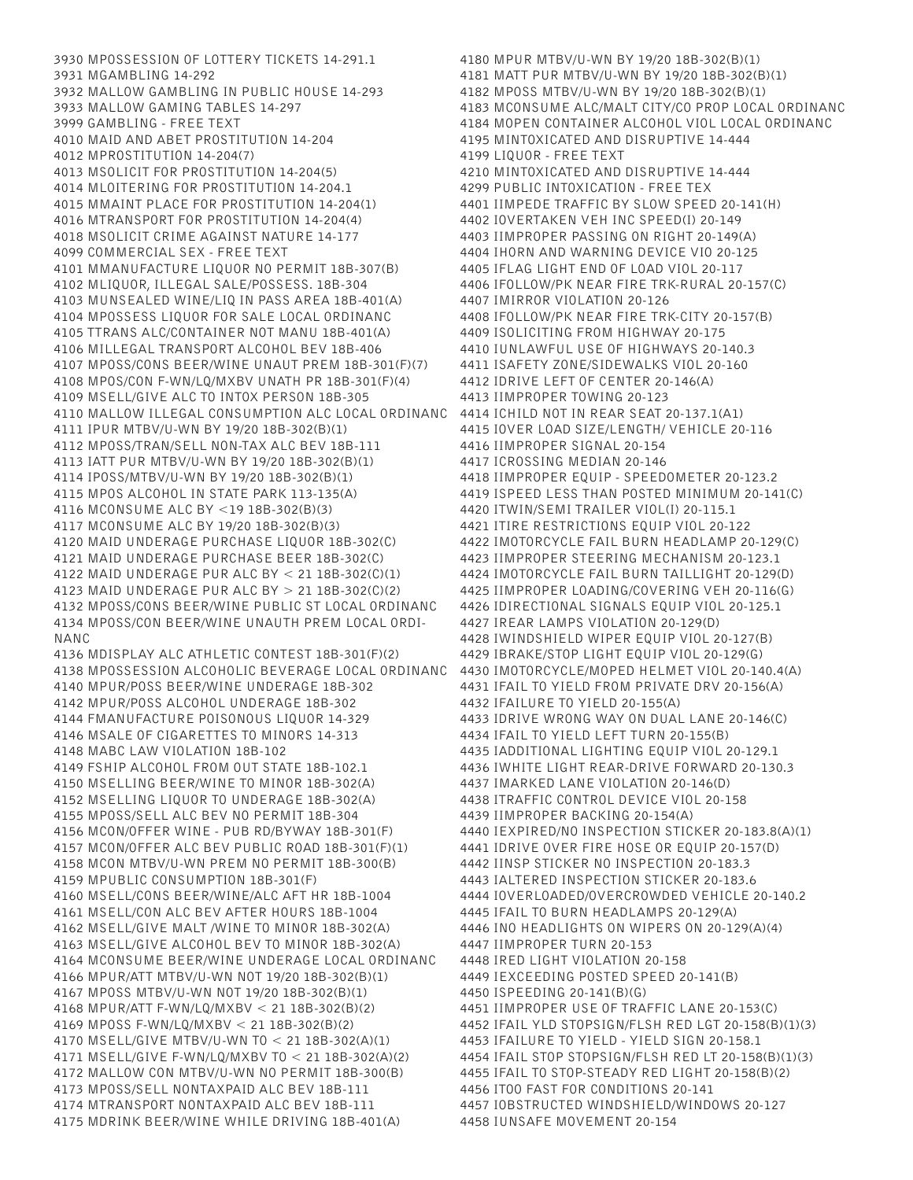3930 MPOSSESSION OF LOTTERY TICKETS 14-291.1 3931 MGAMBLING 14-292 3932 MALLOW GAMBLING IN PUBLIC HOUSE 14-293 3933 MALLOW GAMING TABLES 14-297 3999 GAMBLING - FREE TEXT 4010 MAID AND ABET PROSTITUTION 14-204 4012 MPROSTITUTION 14-204(7) 4013 MSOLICIT FOR PROSTITUTION 14-204(5) 4014 MLOITERING FOR PROSTITUTION 14-204.1 4015 MMAINT PLACE FOR PROSTITUTION 14-204(1) 4016 MTRANSPORT FOR PROSTITUTION 14-204(4) 4018 MSOLICIT CRIME AGAINST NATURE 14-177 4099 COMMERCIAL SEX - FREE TEXT 4101 MMANUFACTURE LIQUOR NO PERMIT 18B-307(B) 4102 MLIQUOR, ILLEGAL SALE/POSSESS. 18B-304 4103 MUNSEALED WINE/LIQ IN PASS AREA 18B-401(A) 4104 MPOSSESS LIQUOR FOR SALE LOCAL ORDINANC 4105 TTRANS ALC/CONTAINER NOT MANU 18B-401(A) 4106 MILLEGAL TRANSPORT ALCOHOL BEV 18B-406 4107 MPOSS/CONS BEER/WINE UNAUT PREM 18B-301(F)(7) 4108 MPOS/CON F-WN/LQ/MXBV UNATH PR 18B-301(F)(4) 4109 MSELL/GIVE ALC TO INTOX PERSON 18B-305 4110 MALLOW ILLEGAL CONSUMPTION ALC LOCAL ORDINANC 4111 IPUR MTBV/U-WN BY 19/20 18B-302(B)(1) 4112 MPOSS/TRAN/SELL NON-TAX ALC BEV 18B-111 4113 IATT PUR MTBV/U-WN BY 19/20 18B-302(B)(1) 4114 IPOSS/MTBV/U-WN BY 19/20 18B-302(B)(1) 4115 MPOS ALCOHOL IN STATE PARK 113-135(A) 4116 MCONSUME ALC BY <19 18B-302(B)(3) 4117 MCONSUME ALC BY 19/20 18B-302(B)(3) 4120 MAID UNDERAGE PURCHASE LIQUOR 18B-302(C) 4121 MAID UNDERAGE PURCHASE BEER 18B-302(C) 4122 MAID UNDERAGE PUR ALC BY < 21 18B-302(C)(1) 4123 MAID UNDERAGE PUR ALC BY > 21 18B-302(C)(2) 4132 MPOSS/CONS BEER/WINE PUBLIC ST LOCAL ORDINANC 4134 MPOSS/CON BEER/WINE UNAUTH PREM LOCAL ORDI-NANC 4136 MDISPLAY ALC ATHLETIC CONTEST 18B-301(F)(2) 4138 MPOSSESSION ALCOHOLIC BEVERAGE LOCAL ORDINANC 4140 MPUR/POSS BEER/WINE UNDERAGE 18B-302 4142 MPUR/POSS ALCOHOL UNDERAGE 18B-302 4144 FMANUFACTURE POISONOUS LIQUOR 14-329 4146 MSALE OF CIGARETTES TO MINORS 14-313 4148 MABC LAW VIOLATION 18B-102 4149 FSHIP ALCOHOL FROM OUT STATE 18B-102.1 4150 MSELLING BEER/WINE TO MINOR 18B-302(A) 4152 MSELLING LIQUOR TO UNDERAGE 18B-302(A) 4155 MPOSS/SELL ALC BEV NO PERMIT 18B-304 4156 MCON/OFFER WINE - PUB RD/BYWAY 18B-301(F) 4157 MCON/OFFER ALC BEV PUBLIC ROAD 18B-301(F)(1) 4158 MCON MTBV/U-WN PREM NO PERMIT 18B-300(B) 4159 MPUBLIC CONSUMPTION 18B-301(F) 4160 MSELL/CONS BEER/WINE/ALC AFT HR 18B-1004 4161 MSELL/CON ALC BEV AFTER HOURS 18B-1004 4162 MSELL/GIVE MALT /WINE TO MINOR 18B-302(A) 4163 MSELL/GIVE ALCOHOL BEV TO MINOR 18B-302(A) 4164 MCONSUME BEER/WINE UNDERAGE LOCAL ORDINANC 4166 MPUR/ATT MTBV/U-WN NOT 19/20 18B-302(B)(1) 4167 MPOSS MTBV/U-WN NOT 19/20 18B-302(B)(1) 4168 MPUR/ATT F-WN/LQ/MXBV < 21 18B-302(B)(2) 4169 MPOSS F-WN/LQ/MXBV < 21 18B-302(B)(2) 4170 MSELL/GIVE MTBV/U-WN TO < 21 18B-302(A)(1) 4171 MSELL/GIVE F-WN/LQ/MXBV TO < 21 18B-302(A)(2) 4172 MALLOW CON MTBV/U-WN NO PERMIT 18B-300(B) 4173 MPOSS/SELL NONTAXPAID ALC BEV 18B-111 4174 MTRANSPORT NONTAXPAID ALC BEV 18B-111 4175 MDRINK BEER/WINE WHILE DRIVING 18B-401(A)

4180 MPUR MTBV/U-WN BY 19/20 18B-302(B)(1) 4181 MATT PUR MTBV/U-WN BY 19/20 18B-302(B)(1) 4182 MPOSS MTBV/U-WN BY 19/20 18B-302(B)(1) 4183 MCONSUME ALC/MALT CITY/CO PROP LOCAL ORDINANC 4184 MOPEN CONTAINER ALCOHOL VIOL LOCAL ORDINANC 4195 MINTOXICATED AND DISRUPTIVE 14-444 4199 LIQUOR - FREE TEXT 4210 MINTOXICATED AND DISRUPTIVE 14-444 4299 PUBLIC INTOXICATION - FREE TEX 4401 IIMPEDE TRAFFIC BY SLOW SPEED 20-141(H) 4402 IOVERTAKEN VEH INC SPEED(I) 20-149 4403 IIMPROPER PASSING ON RIGHT 20-149(A) 4404 IHORN AND WARNING DEVICE VIO 20-125 4405 IFLAG LIGHT END OF LOAD VIOL 20-117 4406 IFOLLOW/PK NEAR FIRE TRK-RURAL 20-157(C) 4407 IMIRROR VIOLATION 20-126 4408 IFOLLOW/PK NEAR FIRE TRK-CITY 20-157(B) 4409 ISOLICITING FROM HIGHWAY 20-175 4410 IUNLAWFUL USE OF HIGHWAYS 20-140.3 4411 ISAFETY ZONE/SIDEWALKS VIOL 20-160 4412 IDRIVE LEFT OF CENTER 20-146(A) 4413 IIMPROPER TOWING 20-123 4414 ICHILD NOT IN REAR SEAT 20-137.1(A1) 4415 IOVER LOAD SIZE/LENGTH/ VEHICLE 20-116 4416 IIMPROPER SIGNAL 20-154 4417 ICROSSING MEDIAN 20-146 4418 IIMPROPER EQUIP - SPEEDOMETER 20-123.2 4419 ISPEED LESS THAN POSTED MINIMUM 20-141(C) 4420 ITWIN/SEMI TRAILER VIOL(I) 20-115.1 4421 ITIRE RESTRICTIONS EQUIP VIOL 20-122 4422 IMOTORCYCLE FAIL BURN HEADLAMP 20-129(C) 4423 IIMPROPER STEERING MECHANISM 20-123.1 4424 IMOTORCYCLE FAIL BURN TAILLIGHT 20-129(D) 4425 IIMPROPER LOADING/COVERING VEH 20-116(G) 4426 IDIRECTIONAL SIGNALS EQUIP VIOL 20-125.1 4427 IREAR LAMPS VIOLATION 20-129(D) 4428 IWINDSHIELD WIPER EQUIP VIOL 20-127(B) 4429 IBRAKE/STOP LIGHT EQUIP VIOL 20-129(G) 4430 IMOTORCYCLE/MOPED HELMET VIOL 20-140.4(A) 4431 IFAIL TO YIELD FROM PRIVATE DRV 20-156(A) 4432 IFAILURE TO YIELD 20-155(A) 4433 IDRIVE WRONG WAY ON DUAL LANE 20-146(C) 4434 IFAIL TO YIELD LEFT TURN 20-155(B) 4435 IADDITIONAL LIGHTING EQUIP VIOL 20-129.1 4436 IWHITE LIGHT REAR-DRIVE FORWARD 20-130.3 4437 IMARKED LANE VIOLATION 20-146(D) 4438 ITRAFFIC CONTROL DEVICE VIOL 20-158 4439 IIMPROPER BACKING 20-154(A) 4440 IEXPIRED/NO INSPECTION STICKER 20-183.8(A)(1) 4441 IDRIVE OVER FIRE HOSE OR EQUIP 20-157(D) 4442 IINSP STICKER NO INSPECTION 20-183.3 4443 IALTERED INSPECTION STICKER 20-183.6 4444 IOVERLOADED/OVERCROWDED VEHICLE 20-140.2 4445 IFAIL TO BURN HEADLAMPS 20-129(A) 4446 INO HEADLIGHTS ON WIPERS ON 20-129(A)(4) 4447 IIMPROPER TURN 20-153 4448 IRED LIGHT VIOLATION 20-158 4449 IEXCEEDING POSTED SPEED 20-141(B) 4450 ISPEEDING 20-141(B)(G) 4451 IIMPROPER USE OF TRAFFIC LANE 20-153(C) 4452 IFAIL YLD STOPSIGN/FLSH RED LGT 20-158(B)(1)(3) 4453 IFAILURE TO YIELD - YIELD SIGN 20-158.1 4454 IFAIL STOP STOPSIGN/FLSH RED LT 20-158(B)(1)(3) 4455 IFAIL TO STOP-STEADY RED LIGHT 20-158(B)(2) 4456 ITOO FAST FOR CONDITIONS 20-141 4457 IOBSTRUCTED WINDSHIELD/WINDOWS 20-127 4458 IUNSAFE MOVEMENT 20-154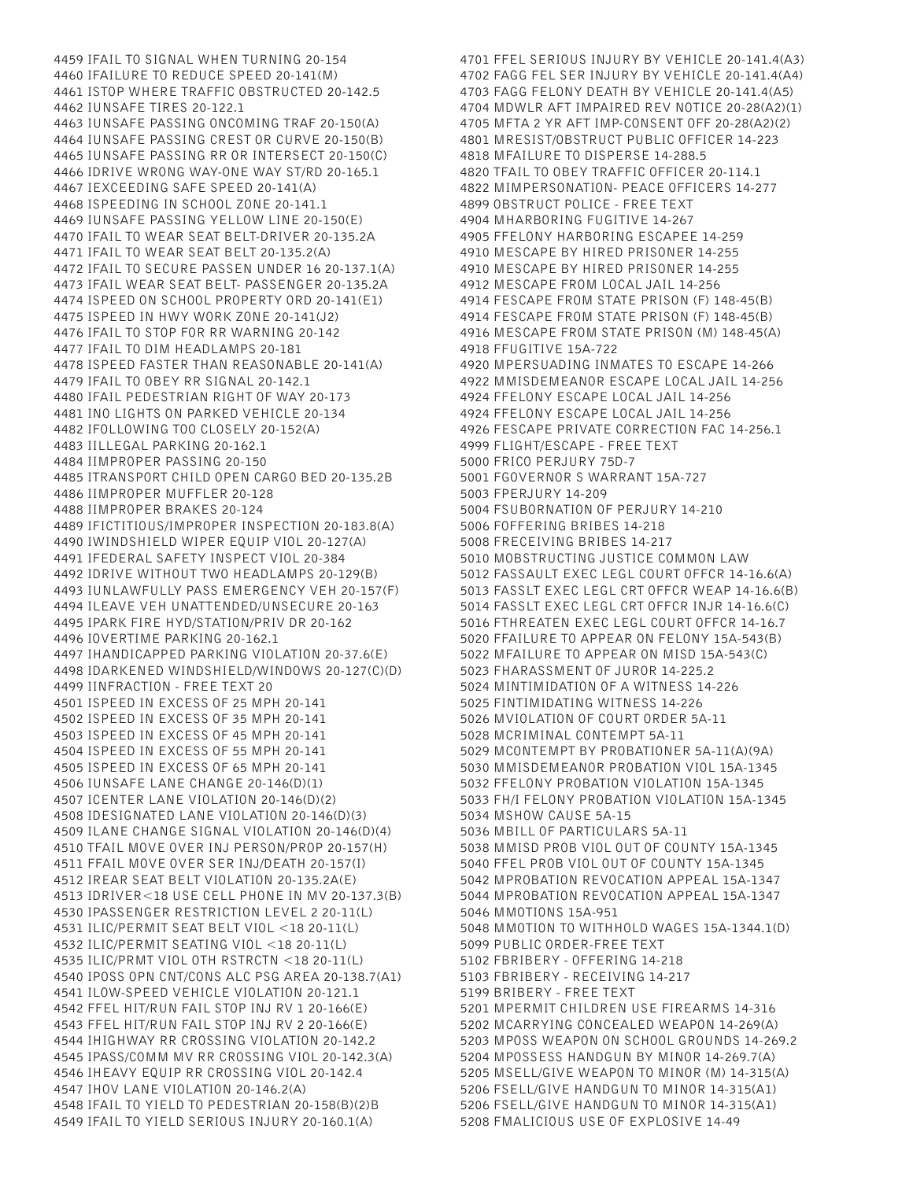4459 IFAIL TO SIGNAL WHEN TURNING 20-154 4460 IFAILURE TO REDUCE SPEED 20-141(M) 4461 ISTOP WHERE TRAFFIC OBSTRUCTED 20-142.5 4462 IUNSAFE TIRES 20-122.1 4463 IUNSAFE PASSING ONCOMING TRAF 20-150(A) 4464 IUNSAFE PASSING CREST OR CURVE 20-150(B) 4465 IUNSAFE PASSING RR OR INTERSECT 20-150(C) 4466 IDRIVE WRONG WAY-ONE WAY ST/RD 20-165.1 4467 IEXCEEDING SAFE SPEED 20-141(A) 4468 ISPEEDING IN SCHOOL ZONE 20-141.1 4469 IUNSAFE PASSING YELLOW LINE 20-150(E) 4470 IFAIL TO WEAR SEAT BELT-DRIVER 20-135.2A 4471 IFAIL TO WEAR SEAT BELT 20-135.2(A) 4472 IFAIL TO SECURE PASSEN UNDER 16 20-137.1(A) 4473 IFAIL WEAR SEAT BELT- PASSENGER 20-135.2A 4474 ISPEED ON SCHOOL PROPERTY ORD 20-141(E1) 4475 ISPEED IN HWY WORK ZONE 20-141(J2) 4476 IFAIL TO STOP FOR RR WARNING 20-142 4477 IFAIL TO DIM HEADLAMPS 20-181 4478 ISPEED FASTER THAN REASONABLE 20-141(A) 4479 IFAIL TO OBEY RR SIGNAL 20-142.1 4480 IFAIL PEDESTRIAN RIGHT OF WAY 20-173 4481 INO LIGHTS ON PARKED VEHICLE 20-134 4482 IFOLLOWING TOO CLOSELY 20-152(A) 4483 IILLEGAL PARKING 20-162.1 4484 IIMPROPER PASSING 20-150 4485 ITRANSPORT CHILD OPEN CARGO BED 20-135.2B 4486 IIMPROPER MUFFLER 20-128 4488 IIMPROPER BRAKES 20-124 4489 IFICTITIOUS/IMPROPER INSPECTION 20-183.8(A) 4490 IWINDSHIELD WIPER EQUIP VIOL 20-127(A) 4491 IFEDERAL SAFETY INSPECT VIOL 20-384 4492 IDRIVE WITHOUT TWO HEADLAMPS 20-129(B) 4493 IUNLAWFULLY PASS EMERGENCY VEH 20-157(F) 4494 ILEAVE VEH UNATTENDED/UNSECURE 20-163 4495 IPARK FIRE HYD/STATION/PRIV DR 20-162 4496 IOVERTIME PARKING 20-162.1 4497 IHANDICAPPED PARKING VIOLATION 20-37.6(E) 4498 IDARKENED WINDSHIELD/WINDOWS 20-127(C)(D) 4499 IINFRACTION - FREE TEXT 20 4501 ISPEED IN EXCESS OF 25 MPH 20-141 4502 ISPEED IN EXCESS OF 35 MPH 20-141 4503 ISPEED IN EXCESS OF 45 MPH 20-141 4504 ISPEED IN EXCESS OF 55 MPH 20-141 4505 ISPEED IN EXCESS OF 65 MPH 20-141 4506 IUNSAFE LANE CHANGE 20-146(D)(1) 4507 ICENTER LANE VIOLATION 20-146(D)(2) 4508 IDESIGNATED LANE VIOLATION 20-146(D)(3) 4509 ILANE CHANGE SIGNAL VIOLATION 20-146(D)(4) 4510 TFAIL MOVE OVER INJ PERSON/PROP 20-157(H) 4511 FFAIL MOVE OVER SER INJ/DEATH 20-157(I) 4512 IREAR SEAT BELT VIOLATION 20-135.2A(E) 4513 IDRIVER<18 USE CELL PHONE IN MV 20-137.3(B) 4530 IPASSENGER RESTRICTION LEVEL 2 20-11(L) 4531 ILIC/PERMIT SEAT BELT VIOL <18 20-11(L) 4532 ILIC/PERMIT SEATING VIOL <18 20-11(L) 4535 ILIC/PRMT VIOL OTH RSTRCTN <18 20-11(L) 4540 IPOSS OPN CNT/CONS ALC PSG AREA 20-138.7(A1) 4541 ILOW-SPEED VEHICLE VIOLATION 20-121.1 4542 FFEL HIT/RUN FAIL STOP INJ RV 1 20-166(E) 4543 FFEL HIT/RUN FAIL STOP INJ RV 2 20-166(E) 4544 IHIGHWAY RR CROSSING VIOLATION 20-142.2 4545 IPASS/COMM MV RR CROSSING VIOL 20-142.3(A) 4546 IHEAVY EQUIP RR CROSSING VIOL 20-142.4 4547 IHOV LANE VIOLATION 20-146.2(A) 4548 IFAIL TO YIELD TO PEDESTRIAN 20-158(B)(2)B 4549 IFAIL TO YIELD SERIOUS INJURY 20-160.1(A)

4701 FFEL SERIOUS INJURY BY VEHICLE 20-141.4(A3) 4702 FAGG FEL SER INJURY BY VEHICLE 20-141.4(A4) 4703 FAGG FELONY DEATH BY VEHICLE 20-141.4(A5) 4704 MDWLR AFT IMPAIRED REV NOTICE 20-28(A2)(1) 4705 MFTA 2 YR AFT IMP-CONSENT OFF 20-28(A2)(2) 4801 MRESIST/OBSTRUCT PUBLIC OFFICER 14-223 4818 MFAILURE TO DISPERSE 14-288.5 4820 TFAIL TO OBEY TRAFFIC OFFICER 20-114.1 4822 MIMPERSONATION- PEACE OFFICERS 14-277 4899 OBSTRUCT POLICE - FREE TEXT 4904 MHARBORING FUGITIVE 14-267 4905 FFELONY HARBORING ESCAPEE 14-259 4910 MESCAPE BY HIRED PRISONER 14-255 4910 MESCAPE BY HIRED PRISONER 14-255 4912 MESCAPE FROM LOCAL JAIL 14-256 4914 FESCAPE FROM STATE PRISON (F) 148-45(B) 4914 FESCAPE FROM STATE PRISON (F) 148-45(B) 4916 MESCAPE FROM STATE PRISON (M) 148-45(A) 4918 FFUGITIVE 15A-722 4920 MPERSUADING INMATES TO ESCAPE 14-266 4922 MMISDEMEANOR ESCAPE LOCAL JAIL 14-256 4924 FFELONY ESCAPE LOCAL JAIL 14-256 4924 FFELONY ESCAPE LOCAL JAIL 14-256 4926 FESCAPE PRIVATE CORRECTION FAC 14-256.1 4999 FLIGHT/ESCAPE - FREE TEXT 5000 FRICO PERJURY 75D-7 5001 FGOVERNOR S WARRANT 15A-727 5003 FPERJURY 14-209 5004 FSUBORNATION OF PERJURY 14-210 5006 FOFFERING BRIBES 14-218 5008 FRECEIVING BRIBES 14-217 5010 MOBSTRUCTING JUSTICE COMMON LAW 5012 FASSAULT EXEC LEGL COURT OFFCR 14-16.6(A) 5013 FASSLT EXEC LEGL CRT OFFCR WEAP 14-16.6(B) 5014 FASSLT EXEC LEGL CRT OFFCR INJR 14-16.6(C) 5016 FTHREATEN EXEC LEGL COURT OFFCR 14-16.7 5020 FFAILURE TO APPEAR ON FELONY 15A-543(B) 5022 MFAILURE TO APPEAR ON MISD 15A-543(C) 5023 FHARASSMENT OF JUROR 14-225.2 5024 MINTIMIDATION OF A WITNESS 14-226 5025 FINTIMIDATING WITNESS 14-226 5026 MVIOLATION OF COURT ORDER 5A-11 5028 MCRIMINAL CONTEMPT 5A-11 5029 MCONTEMPT BY PROBATIONER 5A-11(A)(9A) 5030 MMISDEMEANOR PROBATION VIOL 15A-1345 5032 FFELONY PROBATION VIOLATION 15A-1345 5033 FH/I FELONY PROBATION VIOLATION 15A-1345 5034 MSHOW CAUSE 5A-15 5036 MBILL OF PARTICULARS 5A-11 5038 MMISD PROB VIOL OUT OF COUNTY 15A-1345 5040 FFEL PROB VIOL OUT OF COUNTY 15A-1345 5042 MPROBATION REVOCATION APPEAL 15A-1347 5044 MPROBATION REVOCATION APPEAL 15A-1347 5046 MMOTIONS 15A-951 5048 MMOTION TO WITHHOLD WAGES 15A-1344.1(D) 5099 PUBLIC ORDER-FREE TEXT 5102 FBRIBERY - OFFERING 14-218 5103 FBRIBERY - RECEIVING 14-217 5199 BRIBERY - FREE TEXT 5201 MPERMIT CHILDREN USE FIREARMS 14-316 5202 MCARRYING CONCEALED WEAPON 14-269(A) 5203 MPOSS WEAPON ON SCHOOL GROUNDS 14-269.2 5204 MPOSSESS HANDGUN BY MINOR 14-269.7(A) 5205 MSELL/GIVE WEAPON TO MINOR (M) 14-315(A) 5206 FSELL/GIVE HANDGUN TO MINOR 14-315(A1) 5206 FSELL/GIVE HANDGUN TO MINOR 14-315(A1) 5208 FMALICIOUS USE OF EXPLOSIVE 14-49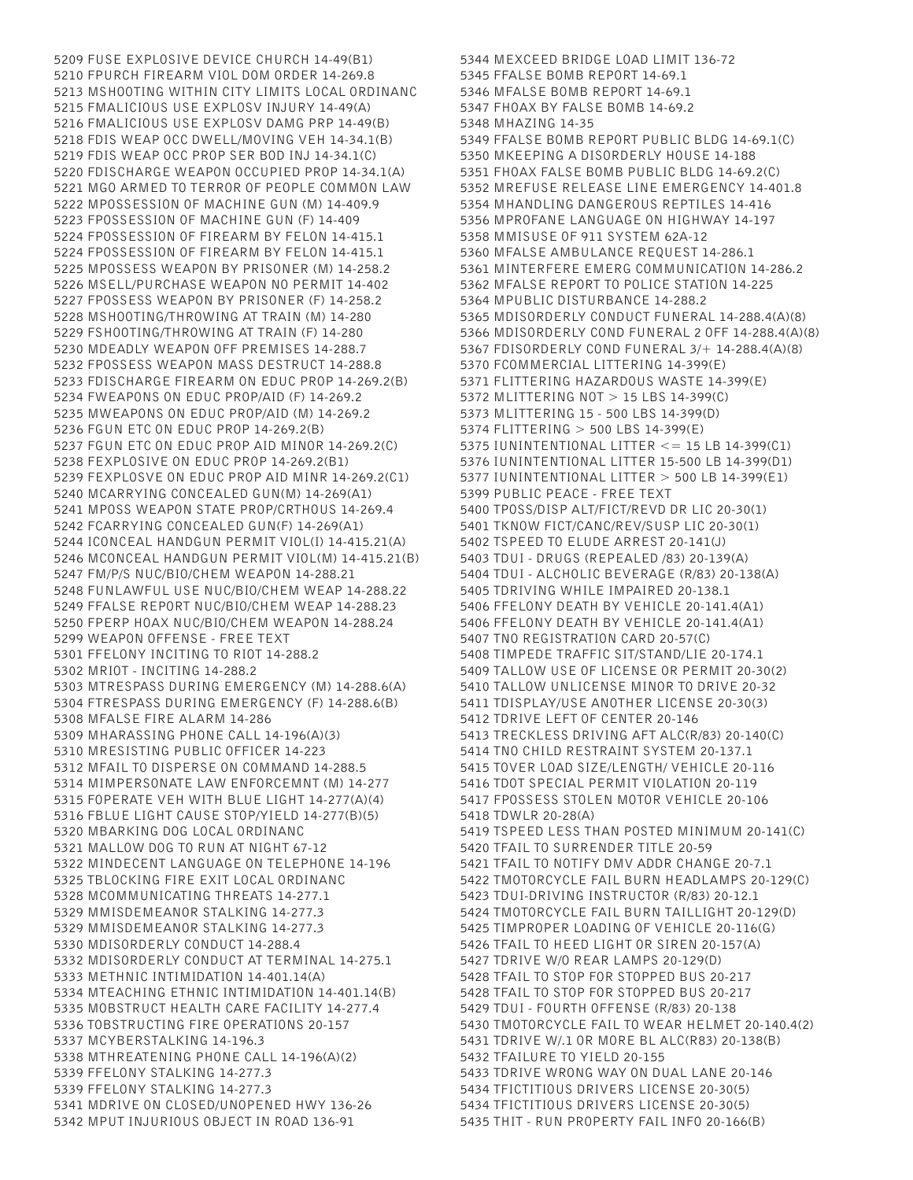5209 FUSE EXPLOSIVE DEVICE CHURCH 14-49(B1) 5210 FPURCH FIREARM VIOL DOM ORDER 14-269.8 5213 MSHOOTING WITHIN CITY LIMITS LOCAL ORDINANC 5215 FMALICIOUS USE EXPLOSV INJURY 14-49(A) 5216 FMALICIOUS USE EXPLOSV DAMG PRP 14-49(B) 5218 FDIS WEAP OCC DWELL/MOVING VEH 14-34.1(B) 5219 FDIS WEAP OCC PROP SER BOD INJ 14-34.1(C) 5220 FDISCHARGE WEAPON OCCUPIED PROP 14-34.1(A) 5221 MGO ARMED TO TERROR OF PEOPLE COMMON LAW 5222 MPOSSESSION OF MACHINE GUN (M) 14-409.9 5223 FPOSSESSION OF MACHINE GUN (F) 14-409 5224 FPOSSESSION OF FIREARM BY FELON 14-415.1 5224 FPOSSESSION OF FIREARM BY FELON 14-415.1 5225 MPOSSESS WEAPON BY PRISONER (M) 14-258.2 5226 MSELL/PURCHASE WEAPON NO PERMIT 14-402 5227 FPOSSESS WEAPON BY PRISONER (F) 14-258.2 5228 MSHOOTING/THROWING AT TRAIN (M) 14-280 5229 FSHOOTING/THROWING AT TRAIN (F) 14-280 5230 MDEADLY WEAPON OFF PREMISES 14-288.7 5232 FPOSSESS WEAPON MASS DESTRUCT 14-288.8 5233 FDISCHARGE FIREARM ON EDUC PROP 14-269.2(B) 5234 FWEAPONS ON EDUC PROP/AID (F) 14-269.2 5235 MWEAPONS ON EDUC PROP/AID (M) 14-269.2 5236 FGUN ETC ON EDUC PROP 14-269.2(B) 5237 FGUN ETC ON EDUC PROP AID MINOR 14-269.2(C) 5238 FEXPLOSIVE ON EDUC PROP 14-269.2(B1) 5239 FEXPLOSVE ON EDUC PROP AID MINR 14-269.2(C1) 5240 MCARRYING CONCEALED GUN(M) 14-269(A1) 5241 MPOSS WEAPON STATE PROP/CRTHOUS 14-269.4 5242 FCARRYING CONCEALED GUN(F) 14-269(A1) 5244 ICONCEAL HANDGUN PERMIT VIOL(I) 14-415.21(A) 5246 MCONCEAL HANDGUN PERMIT VIOL(M) 14-415.21(B) 5247 FM/P/S NUC/BIO/CHEM WEAPON 14-288.21 5248 FUNLAWFUL USE NUC/BIO/CHEM WEAP 14-288.22 5249 FFALSE REPORT NUC/BIO/CHEM WEAP 14-288.23 5250 FPERP HOAX NUC/BIO/CHEM WEAPON 14-288.24 5299 WEAPON OFFENSE - FREE TEXT 5301 FFELONY INCITING TO RIOT 14-288.2 5302 MRIOT - INCITING 14-288.2 5303 MTRESPASS DURING EMERGENCY (M) 14-288.6(A) 5304 FTRESPASS DURING EMERGENCY (F) 14-288.6(B) 5308 MFALSE FIRE ALARM 14-286 5309 MHARASSING PHONE CALL 14-196(A)(3) 5310 MRESISTING PUBLIC OFFICER 14-223 5312 MFAIL TO DISPERSE ON COMMAND 14-288.5 5314 MIMPERSONATE LAW ENFORCEMNT (M) 14-277 5315 FOPERATE VEH WITH BLUE LIGHT 14-277(A)(4) 5316 FBLUE LIGHT CAUSE STOP/YIELD 14-277(B)(5) 5320 MBARKING DOG LOCAL ORDINANC 5321 MALLOW DOG TO RUN AT NIGHT 67-12 5322 MINDECENT LANGUAGE ON TELEPHONE 14-196 5325 TBLOCKING FIRE EXIT LOCAL ORDINANC 5328 MCOMMUNICATING THREATS 14-277.1 5329 MMISDEMEANOR STALKING 14-277.3 5329 MMISDEMEANOR STALKING 14-277.3 5330 MDISORDERLY CONDUCT 14-288.4 5332 MDISORDERLY CONDUCT AT TERMINAL 14-275.1 5333 METHNIC INTIMIDATION 14-401.14(A) 5334 MTEACHING ETHNIC INTIMIDATION 14-401.14(B) 5335 MOBSTRUCT HEALTH CARE FACILITY 14-277.4 5336 TOBSTRUCTING FIRE OPERATIONS 20-157 5337 MCYBERSTALKING 14-196.3 5338 MTHREATENING PHONE CALL 14-196(A)(2) 5339 FFELONY STALKING 14-277.3 5339 FFELONY STALKING 14-277.3 5341 MDRIVE ON CLOSED/UNOPENED HWY 136-26 5342 MPUT INJURIOUS OBJECT IN ROAD 136-91

5344 MEXCEED BRIDGE LOAD LIMIT 136-72 5345 FFALSE BOMB REPORT 14-69.1 5346 MFALSE BOMB REPORT 14-69.1 5347 FHOAX BY FALSE BOMB 14-69.2 5348 MHAZING 14-35 5349 FFALSE BOMB REPORT PUBLIC BLDG 14-69.1(C) 5350 MKEEPING A DISORDERLY HOUSE 14-188 5351 FHOAX FALSE BOMB PUBLIC BLDG 14-69.2(C) 5352 MREFUSE RELEASE LINE EMERGENCY 14-401.8 5354 MHANDLING DANGEROUS REPTILES 14-416 5356 MPROFANE LANGUAGE ON HIGHWAY 14-197 5358 MMISUSE OF 911 SYSTEM 62A-12 5360 MFALSE AMBULANCE REQUEST 14-286.1 5361 MINTERFERE EMERG COMMUNICATION 14-286.2 5362 MFALSE REPORT TO POLICE STATION 14-225 5364 MPUBLIC DISTURBANCE 14-288.2 5365 MDISORDERLY CONDUCT FUNERAL 14-288.4(A)(8) 5366 MDISORDERLY COND FUNERAL 2 OFF 14-288.4(A)(8) 5367 FDISORDERLY COND FUNERAL 3/+ 14-288.4(A)(8) 5370 FCOMMERCIAL LITTERING 14-399(E) 5371 FLITTERING HAZARDOUS WASTE 14-399(E) 5372 MLITTERING NOT > 15 LBS 14-399(C) 5373 MLITTERING 15 - 500 LBS 14-399(D) 5374 FLITTERING > 500 LBS 14-399(E) 5375 IUNINTENTIONAL LITTER <= 15 LB 14-399(C1) 5376 IUNINTENTIONAL LITTER 15-500 LB 14-399(D1) 5377 IUNINTENTIONAL LITTER > 500 LB 14-399(E1) 5399 PUBLIC PEACE - FREE TEXT 5400 TPOSS/DISP ALT/FICT/REVD DR LIC 20-30(1) 5401 TKNOW FICT/CANC/REV/SUSP LIC 20-30(1) 5402 TSPEED TO ELUDE ARREST 20-141(J) 5403 TDUI - DRUGS (REPEALED /83) 20-139(A) 5404 TDUI - ALCHOLIC BEVERAGE (R/83) 20-138(A) 5405 TDRIVING WHILE IMPAIRED 20-138.1 5406 FFELONY DEATH BY VEHICLE 20-141.4(A1) 5406 FFELONY DEATH BY VEHICLE 20-141.4(A1) 5407 TNO REGISTRATION CARD 20-57(C) 5408 TIMPEDE TRAFFIC SIT/STAND/LIE 20-174.1 5409 TALLOW USE OF LICENSE OR PERMIT 20-30(2) 5410 TALLOW UNLICENSE MINOR TO DRIVE 20-32 5411 TDISPLAY/USE ANOTHER LICENSE 20-30(3) 5412 TDRIVE LEFT OF CENTER 20-146 5413 TRECKLESS DRIVING AFT ALC(R/83) 20-140(C) 5414 TNO CHILD RESTRAINT SYSTEM 20-137.1 5415 TOVER LOAD SIZE/LENGTH/ VEHICLE 20-116 5416 TDOT SPECIAL PERMIT VIOLATION 20-119 5417 FPOSSESS STOLEN MOTOR VEHICLE 20-106 5418 TDWLR 20-28(A) 5419 TSPEED LESS THAN POSTED MINIMUM 20-141(C) 5420 TFAIL TO SURRENDER TITLE 20-59 5421 TFAIL TO NOTIFY DMV ADDR CHANGE 20-7.1 5422 TMOTORCYCLE FAIL BURN HEADLAMPS 20-129(C) 5423 TDUI-DRIVING INSTRUCTOR (R/83) 20-12.1 5424 TMOTORCYCLE FAIL BURN TAILLIGHT 20-129(D) 5425 TIMPROPER LOADING OF VEHICLE 20-116(G) 5426 TFAIL TO HEED LIGHT OR SIREN 20-157(A) 5427 TDRIVE W/O REAR LAMPS 20-129(D) 5428 TFAIL TO STOP FOR STOPPED BUS 20-217 5428 TFAIL TO STOP FOR STOPPED BUS 20-217 5429 TDUI - FOURTH OFFENSE (R/83) 20-138 5430 TMOTORCYCLE FAIL TO WEAR HELMET 20-140.4(2) 5431 TDRIVE W/.1 OR MORE BL ALC(R83) 20-138(B) 5432 TFAILURE TO YIELD 20-155 5433 TDRIVE WRONG WAY ON DUAL LANE 20-146 5434 TFICTITIOUS DRIVERS LICENSE 20-30(5) 5434 TFICTITIOUS DRIVERS LICENSE 20-30(5) 5435 THIT - RUN PROPERTY FAIL INFO 20-166(B)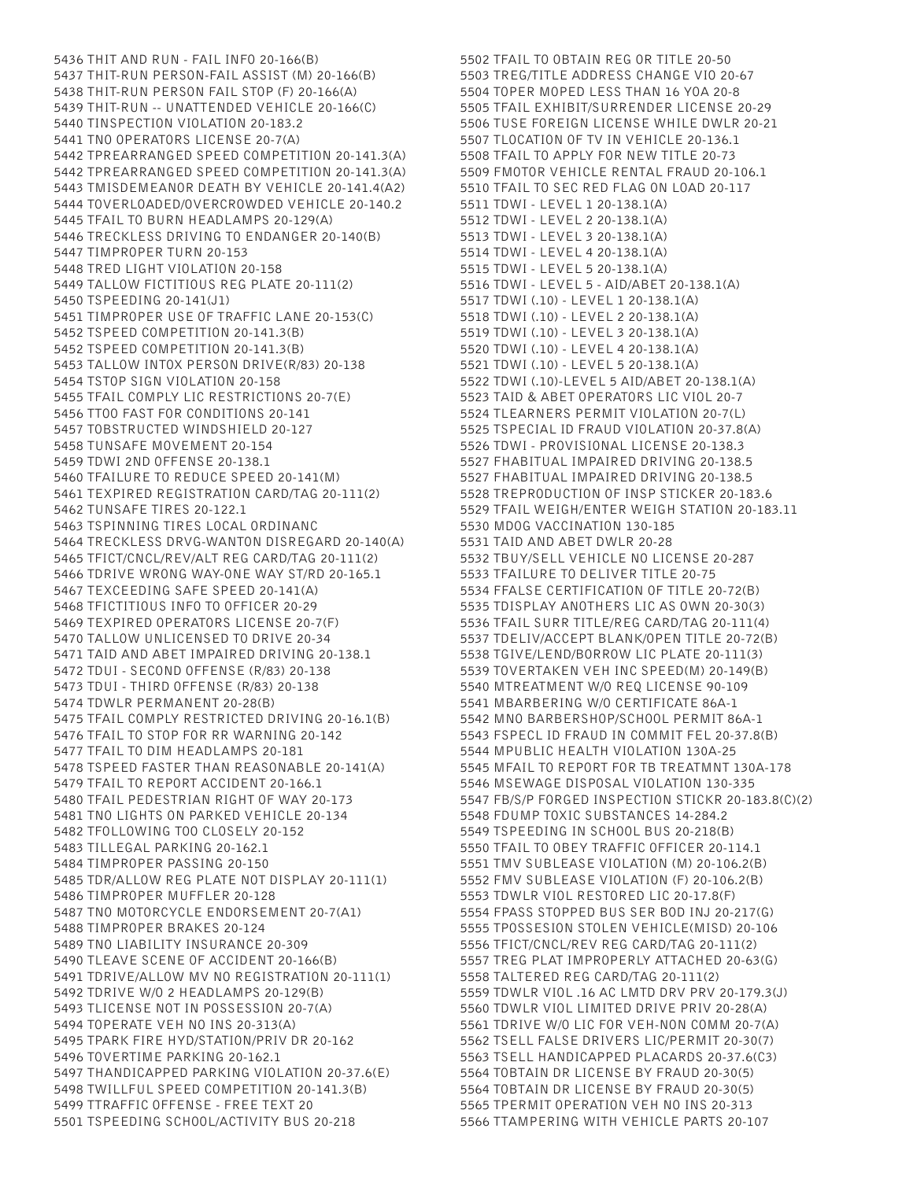5436 THIT AND RUN - FAIL INFO 20-166(B) 5437 THIT-RUN PERSON-FAIL ASSIST (M) 20-166(B) 5438 THIT-RUN PERSON FAIL STOP (F) 20-166(A) 5439 THIT-RUN -- UNATTENDED VEHICLE 20-166(C) 5440 TINSPECTION VIOLATION 20-183.2 5441 TNO OPERATORS LICENSE 20-7(A) 5442 TPREARRANGED SPEED COMPETITION 20-141.3(A) 5442 TPREARRANGED SPEED COMPETITION 20-141.3(A) 5443 TMISDEMEANOR DEATH BY VEHICLE 20-141.4(A2) 5444 TOVERLOADED/OVERCROWDED VEHICLE 20-140.2 5445 TFAIL TO BURN HEADLAMPS 20-129(A) 5446 TRECKLESS DRIVING TO ENDANGER 20-140(B) 5447 TIMPROPER TURN 20-153 5448 TRED LIGHT VIOLATION 20-158 5449 TALLOW FICTITIOUS REG PLATE 20-111(2) 5450 TSPEEDING 20-141(J1) 5451 TIMPROPER USE OF TRAFFIC LANE 20-153(C) 5452 TSPEED COMPETITION 20-141.3(B) 5452 TSPEED COMPETITION 20-141.3(B) 5453 TALLOW INTOX PERSON DRIVE(R/83) 20-138 5454 TSTOP SIGN VIOLATION 20-158 5455 TFAIL COMPLY LIC RESTRICTIONS 20-7(E) 5456 TTOO FAST FOR CONDITIONS 20-141 5457 TOBSTRUCTED WINDSHIELD 20-127 5458 TUNSAFE MOVEMENT 20-154 5459 TDWI 2ND OFFENSE 20-138.1 5460 TFAILURE TO REDUCE SPEED 20-141(M) 5461 TEXPIRED REGISTRATION CARD/TAG 20-111(2) 5462 TUNSAFE TIRES 20-122.1 5463 TSPINNING TIRES LOCAL ORDINANC 5464 TRECKLESS DRVG-WANTON DISREGARD 20-140(A) 5465 TFICT/CNCL/REV/ALT REG CARD/TAG 20-111(2) 5466 TDRIVE WRONG WAY-ONE WAY ST/RD 20-165.1 5467 TEXCEEDING SAFE SPEED 20-141(A) 5468 TFICTITIOUS INFO TO OFFICER 20-29 5469 TEXPIRED OPERATORS LICENSE 20-7(F) 5470 TALLOW UNLICENSED TO DRIVE 20-34 5471 TAID AND ABET IMPAIRED DRIVING 20-138.1 5472 TDUI - SECOND OFFENSE (R/83) 20-138 5473 TDUI - THIRD OFFENSE (R/83) 20-138 5474 TDWLR PERMANENT 20-28(B) 5475 TFAIL COMPLY RESTRICTED DRIVING 20-16.1(B) 5476 TFAIL TO STOP FOR RR WARNING 20-142 5477 TFAIL TO DIM HEADLAMPS 20-181 5478 TSPEED FASTER THAN REASONABLE 20-141(A) 5479 TFAIL TO REPORT ACCIDENT 20-166.1 5480 TFAIL PEDESTRIAN RIGHT OF WAY 20-173 5481 TNO LIGHTS ON PARKED VEHICLE 20-134 5482 TFOLLOWING TOO CLOSELY 20-152 5483 TILLEGAL PARKING 20-162.1 5484 TIMPROPER PASSING 20-150 5485 TDR/ALLOW REG PLATE NOT DISPLAY 20-111(1) 5486 TIMPROPER MUFFLER 20-128 5487 TNO MOTORCYCLE ENDORSEMENT 20-7(A1) 5488 TIMPROPER BRAKES 20-124 5489 TNO LIABILITY INSURANCE 20-309 5490 TLEAVE SCENE OF ACCIDENT 20-166(B) 5491 TDRIVE/ALLOW MV NO REGISTRATION 20-111(1) 5492 TDRIVE W/O 2 HEADLAMPS 20-129(B) 5493 TLICENSE NOT IN POSSESSION 20-7(A) 5494 TOPERATE VEH NO INS 20-313(A) 5495 TPARK FIRE HYD/STATION/PRIV DR 20-162 5496 TOVERTIME PARKING 20-162.1 5497 THANDICAPPED PARKING VIOLATION 20-37.6(E) 5498 TWILLFUL SPEED COMPETITION 20-141.3(B) 5499 TTRAFFIC OFFENSE - FREE TEXT 20 5501 TSPEEDING SCHOOL/ACTIVITY BUS 20-218

5502 TFAIL TO OBTAIN REG OR TITLE 20-50 5503 TREG/TITLE ADDRESS CHANGE VIO 20-67 5504 TOPER MOPED LESS THAN 16 YOA 20-8 5505 TFAIL EXHIBIT/SURRENDER LICENSE 20-29 5506 TUSE FOREIGN LICENSE WHILE DWLR 20-21 5507 TLOCATION OF TV IN VEHICLE 20-136.1 5508 TFAIL TO APPLY FOR NEW TITLE 20-73 5509 FMOTOR VEHICLE RENTAL FRAUD 20-106.1 5510 TFAIL TO SEC RED FLAG ON LOAD 20-117 5511 TDWI - LEVEL 1 20-138.1(A) 5512 TDWI - LEVEL 2 20-138.1(A) 5513 TDWI - LEVEL 3 20-138.1(A) 5514 TDWI - LEVEL 4 20-138.1(A) 5515 TDWI - LEVEL 5 20-138.1(A) 5516 TDWI - LEVEL 5 - AID/ABET 20-138.1(A) 5517 TDWI (.10) - LEVEL 1 20-138.1(A) 5518 TDWI (.10) - LEVEL 2 20-138.1(A) 5519 TDWI (.10) - LEVEL 3 20-138.1(A) 5520 TDWI (.10) - LEVEL 4 20-138.1(A) 5521 TDWI (.10) - LEVEL 5 20-138.1(A) 5522 TDWI (.10)-LEVEL 5 AID/ABET 20-138.1(A) 5523 TAID & ABET OPERATORS LIC VIOL 20-7 5524 TLEARNERS PERMIT VIOLATION 20-7(L) 5525 TSPECIAL ID FRAUD VIOLATION 20-37.8(A) 5526 TDWI - PROVISIONAL LICENSE 20-138.3 5527 FHABITUAL IMPAIRED DRIVING 20-138.5 5527 FHABITUAL IMPAIRED DRIVING 20-138.5 5528 TREPRODUCTION OF INSP STICKER 20-183.6 5529 TFAIL WEIGH/ENTER WEIGH STATION 20-183.11 5530 MDOG VACCINATION 130-185 5531 TAID AND ABET DWLR 20-28 5532 TBUY/SELL VEHICLE NO LICENSE 20-287 5533 TFAILURE TO DELIVER TITLE 20-75 5534 FFALSE CERTIFICATION OF TITLE 20-72(B) 5535 TDISPLAY ANOTHERS LIC AS OWN 20-30(3) 5536 TFAIL SURR TITLE/REG CARD/TAG 20-111(4) 5537 TDELIV/ACCEPT BLANK/OPEN TITLE 20-72(B) 5538 TGIVE/LEND/BORROW LIC PLATE 20-111(3) 5539 TOVERTAKEN VEH INC SPEED(M) 20-149(B) 5540 MTREATMENT W/O REQ LICENSE 90-109 5541 MBARBERING W/O CERTIFICATE 86A-1 5542 MNO BARBERSHOP/SCHOOL PERMIT 86A-1 5543 FSPECL ID FRAUD IN COMMIT FEL 20-37.8(B) 5544 MPUBLIC HEALTH VIOLATION 130A-25 5545 MFAIL TO REPORT FOR TB TREATMNT 130A-178 5546 MSEWAGE DISPOSAL VIOLATION 130-335 5547 FB/S/P FORGED INSPECTION STICKR 20-183.8(C)(2) 5548 FDUMP TOXIC SUBSTANCES 14-284.2 5549 TSPEEDING IN SCHOOL BUS 20-218(B) 5550 TFAIL TO OBEY TRAFFIC OFFICER 20-114.1 5551 TMV SUBLEASE VIOLATION (M) 20-106.2(B) 5552 FMV SUBLEASE VIOLATION (F) 20-106.2(B) 5553 TDWLR VIOL RESTORED LIC 20-17.8(F) 5554 FPASS STOPPED BUS SER BOD INJ 20-217(G) 5555 TPOSSESION STOLEN VEHICLE(MISD) 20-106 5556 TFICT/CNCL/REV REG CARD/TAG 20-111(2) 5557 TREG PLAT IMPROPERLY ATTACHED 20-63(G) 5558 TALTERED REG CARD/TAG 20-111(2) 5559 TDWLR VIOL .16 AC LMTD DRV PRV 20-179.3(J) 5560 TDWLR VIOL LIMITED DRIVE PRIV 20-28(A) 5561 TDRIVE W/O LIC FOR VEH-NON COMM 20-7(A) 5562 TSELL FALSE DRIVERS LIC/PERMIT 20-30(7) 5563 TSELL HANDICAPPED PLACARDS 20-37.6(C3) 5564 TOBTAIN DR LICENSE BY FRAUD 20-30(5) 5564 TOBTAIN DR LICENSE BY FRAUD 20-30(5) 5565 TPERMIT OPERATION VEH NO INS 20-313 5566 TTAMPERING WITH VEHICLE PARTS 20-107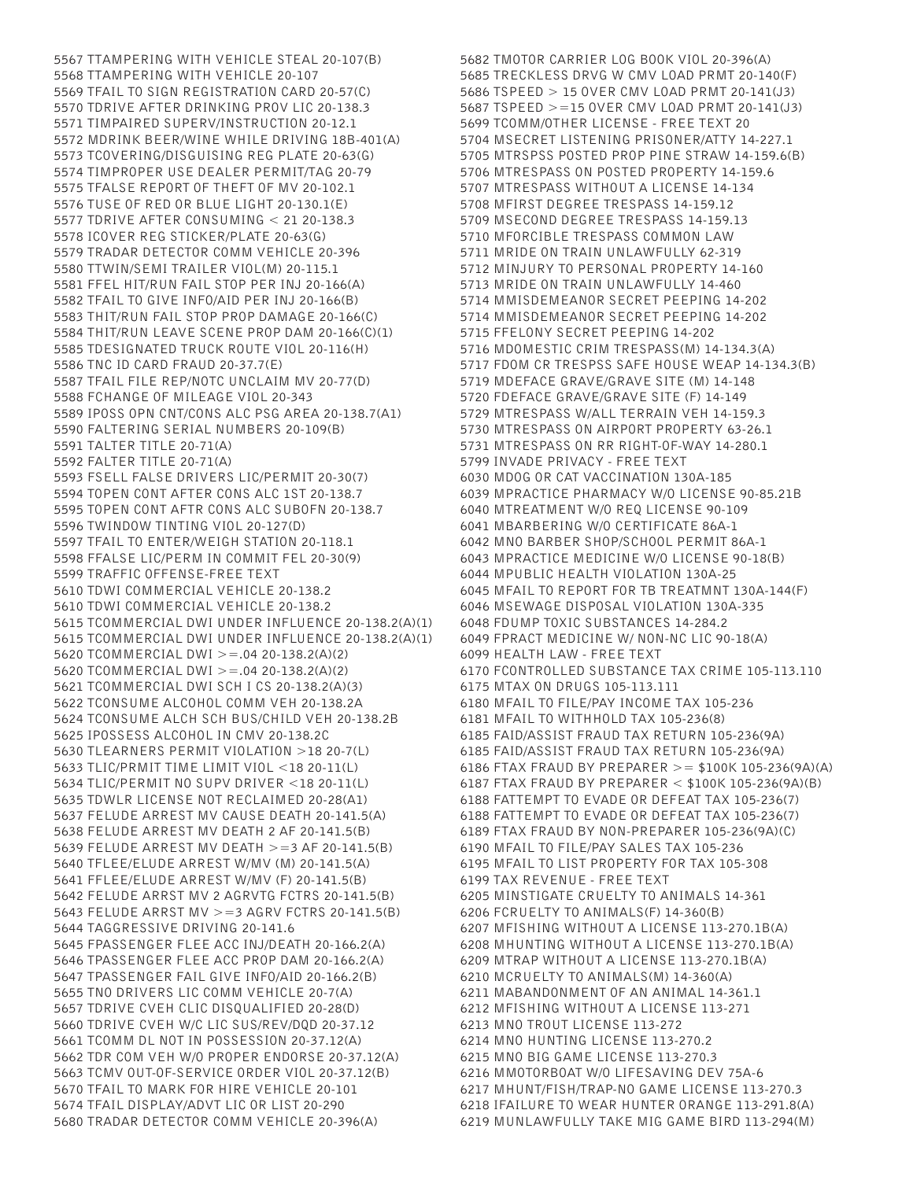5567 TTAMPERING WITH VEHICLE STEAL 20-107(B) 5568 TTAMPERING WITH VEHICLE 20-107 5569 TFAIL TO SIGN REGISTRATION CARD 20-57(C) 5570 TDRIVE AFTER DRINKING PROV LIC 20-138.3 5571 TIMPAIRED SUPERV/INSTRUCTION 20-12.1 5572 MDRINK BEER/WINE WHILE DRIVING 18B-401(A) 5573 TCOVERING/DISGUISING REG PLATE 20-63(G) 5574 TIMPROPER USE DEALER PERMIT/TAG 20-79 5575 TFALSE REPORT OF THEFT OF MV 20-102.1 5576 TUSE OF RED OR BLUE LIGHT 20-130.1(E) 5577 TDRIVE AFTER CONSUMING < 21 20-138.3 5578 ICOVER REG STICKER/PLATE 20-63(G) 5579 TRADAR DETECTOR COMM VEHICLE 20-396 5580 TTWIN/SEMI TRAILER VIOL(M) 20-115.1 5581 FFEL HIT/RUN FAIL STOP PER INJ 20-166(A) 5582 TFAIL TO GIVE INFO/AID PER INJ 20-166(B) 5583 THIT/RUN FAIL STOP PROP DAMAGE 20-166(C) 5584 THIT/RUN LEAVE SCENE PROP DAM 20-166(C)(1) 5585 TDESIGNATED TRUCK ROUTE VIOL 20-116(H) 5586 TNC ID CARD FRAUD 20-37.7(E) 5587 TFAIL FILE REP/NOTC UNCLAIM MV 20-77(D) 5588 FCHANGE OF MILEAGE VIOL 20-343 5589 IPOSS OPN CNT/CONS ALC PSG AREA 20-138.7(A1) 5590 FALTERING SERIAL NUMBERS 20-109(B) 5591 TALTER TITLE 20-71(A) 5592 FALTER TITLE 20-71(A) 5593 FSELL FALSE DRIVERS LIC/PERMIT 20-30(7) 5594 TOPEN CONT AFTER CONS ALC 1ST 20-138.7 5595 TOPEN CONT AFTR CONS ALC SUBOFN 20-138.7 5596 TWINDOW TINTING VIOL 20-127(D) 5597 TFAIL TO ENTER/WEIGH STATION 20-118.1 5598 FFALSE LIC/PERM IN COMMIT FEL 20-30(9) 5599 TRAFFIC OFFENSE-FREE TEXT 5610 TDWI COMMERCIAL VEHICLE 20-138.2 5610 TDWI COMMERCIAL VEHICLE 20-138.2 5615 TCOMMERCIAL DWI UNDER INFLUENCE 20-138.2(A)(1) 5615 TCOMMERCIAL DWI UNDER INFLUENCE 20-138.2(A)(1) 5620 TCOMMERCIAL DWI >=.04 20-138.2(A)(2) 5620 TCOMMERCIAL DWI >=.04 20-138.2(A)(2) 5621 TCOMMERCIAL DWI SCH I CS 20-138.2(A)(3) 5622 TCONSUME ALCOHOL COMM VEH 20-138.2A 5624 TCONSUME ALCH SCH BUS/CHILD VEH 20-138.2B 5625 IPOSSESS ALCOHOL IN CMV 20-138.2C 5630 TLEARNERS PERMIT VIOLATION >18 20-7(L) 5633 TLIC/PRMIT TIME LIMIT VIOL <18 20-11(L) 5634 TLIC/PERMIT NO SUPV DRIVER <18 20-11(L) 5635 TDWLR LICENSE NOT RECLAIMED 20-28(A1) 5637 FELUDE ARREST MV CAUSE DEATH 20-141.5(A) 5638 FELUDE ARREST MV DEATH 2 AF 20-141.5(B) 5639 FELUDE ARREST MV DEATH >=3 AF 20-141.5(B) 5640 TFLEE/ELUDE ARREST W/MV (M) 20-141.5(A) 5641 FFLEE/ELUDE ARREST W/MV (F) 20-141.5(B) 5642 FELUDE ARRST MV 2 AGRVTG FCTRS 20-141.5(B) 5643 FELUDE ARRST MV >=3 AGRV FCTRS 20-141.5(B) 5644 TAGGRESSIVE DRIVING 20-141.6 5645 FPASSENGER FLEE ACC INJ/DEATH 20-166.2(A) 5646 TPASSENGER FLEE ACC PROP DAM 20-166.2(A) 5647 TPASSENGER FAIL GIVE INFO/AID 20-166.2(B) 5655 TNO DRIVERS LIC COMM VEHICLE 20-7(A) 5657 TDRIVE CVEH CLIC DISQUALIFIED 20-28(D) 5660 TDRIVE CVEH W/C LIC SUS/REV/DQD 20-37.12 5661 TCOMM DL NOT IN POSSESSION 20-37.12(A) 5662 TDR COM VEH W/O PROPER ENDORSE 20-37.12(A) 5663 TCMV OUT-OF-SERVICE ORDER VIOL 20-37.12(B) 5670 TFAIL TO MARK FOR HIRE VEHICLE 20-101 5674 TFAIL DISPLAY/ADVT LIC OR LIST 20-290 5680 TRADAR DETECTOR COMM VEHICLE 20-396(A)

5682 TMOTOR CARRIER LOG BOOK VIOL 20-396(A) 5685 TRECKLESS DRVG W CMV LOAD PRMT 20-140(F) 5686 TSPEED > 15 OVER CMV LOAD PRMT 20-141(J3) 5687 TSPEED >=15 OVER CMV LOAD PRMT 20-141(J3) 5699 TCOMM/OTHER LICENSE - FREE TEXT 20 5704 MSECRET LISTENING PRISONER/ATTY 14-227.1 5705 MTRSPSS POSTED PROP PINE STRAW 14-159.6(B) 5706 MTRESPASS ON POSTED PROPERTY 14-159.6 5707 MTRESPASS WITHOUT A LICENSE 14-134 5708 MFIRST DEGREE TRESPASS 14-159.12 5709 MSECOND DEGREE TRESPASS 14-159.13 5710 MFORCIBLE TRESPASS COMMON LAW 5711 MRIDE ON TRAIN UNLAWFULLY 62-319 5712 MINJURY TO PERSONAL PROPERTY 14-160 5713 MRIDE ON TRAIN UNLAWFULLY 14-460 5714 MMISDEMEANOR SECRET PEEPING 14-202 5714 MMISDEMEANOR SECRET PEEPING 14-202 5715 FFELONY SECRET PEEPING 14-202 5716 MDOMESTIC CRIM TRESPASS(M) 14-134.3(A) 5717 FDOM CR TRESPSS SAFE HOUSE WEAP 14-134.3(B) 5719 MDEFACE GRAVE/GRAVE SITE (M) 14-148 5720 FDEFACE GRAVE/GRAVE SITE (F) 14-149 5729 MTRESPASS W/ALL TERRAIN VEH 14-159.3 5730 MTRESPASS ON AIRPORT PROPERTY 63-26.1 5731 MTRESPASS ON RR RIGHT-OF-WAY 14-280.1 5799 INVADE PRIVACY - FREE TEXT 6030 MDOG OR CAT VACCINATION 130A-185 6039 MPRACTICE PHARMACY W/O LICENSE 90-85.21B 6040 MTREATMENT W/O REQ LICENSE 90-109 6041 MBARBERING W/O CERTIFICATE 86A-1 6042 MNO BARBER SHOP/SCHOOL PERMIT 86A-1 6043 MPRACTICE MEDICINE W/O LICENSE 90-18(B) 6044 MPUBLIC HEALTH VIOLATION 130A-25 6045 MFAIL TO REPORT FOR TB TREATMNT 130A-144(F) 6046 MSEWAGE DISPOSAL VIOLATION 130A-335 6048 FDUMP TOXIC SUBSTANCES 14-284.2 6049 FPRACT MEDICINE W/ NON-NC LIC 90-18(A) 6099 HEALTH LAW - FREE TEXT 6170 FCONTROLLED SUBSTANCE TAX CRIME 105-113.110 6175 MTAX ON DRUGS 105-113.111 6180 MFAIL TO FILE/PAY INCOME TAX 105-236 6181 MFAIL TO WITHHOLD TAX 105-236(8) 6185 FAID/ASSIST FRAUD TAX RETURN 105-236(9A) 6185 FAID/ASSIST FRAUD TAX RETURN 105-236(9A) 6186 FTAX FRAUD BY PREPARER >= \$100K 105-236(9A)(A) 6187 FTAX FRAUD BY PREPARER < \$100K 105-236(9A)(B) 6188 FATTEMPT TO EVADE OR DEFEAT TAX 105-236(7) 6188 FATTEMPT TO EVADE OR DEFEAT TAX 105-236(7) 6189 FTAX FRAUD BY NON-PREPARER 105-236(9A)(C) 6190 MFAIL TO FILE/PAY SALES TAX 105-236 6195 MFAIL TO LIST PROPERTY FOR TAX 105-308 6199 TAX REVENUE - FREE TEXT 6205 MINSTIGATE CRUELTY TO ANIMALS 14-361 6206 FCRUELTY TO ANIMALS(F) 14-360(B) 6207 MFISHING WITHOUT A LICENSE 113-270.1B(A) 6208 MHUNTING WITHOUT A LICENSE 113-270.1B(A) 6209 MTRAP WITHOUT A LICENSE 113-270.1B(A) 6210 MCRUELTY TO ANIMALS(M) 14-360(A) 6211 MABANDONMENT OF AN ANIMAL 14-361.1 6212 MFISHING WITHOUT A LICENSE 113-271 6213 MNO TROUT LICENSE 113-272 6214 MNO HUNTING LICENSE 113-270.2 6215 MNO BIG GAME LICENSE 113-270.3 6216 MMOTORBOAT W/O LIFESAVING DEV 75A-6 6217 MHUNT/FISH/TRAP-NO GAME LICENSE 113-270.3 6218 IFAILURE TO WEAR HUNTER ORANGE 113-291.8(A) 6219 MUNLAWFULLY TAKE MIG GAME BIRD 113-294(M)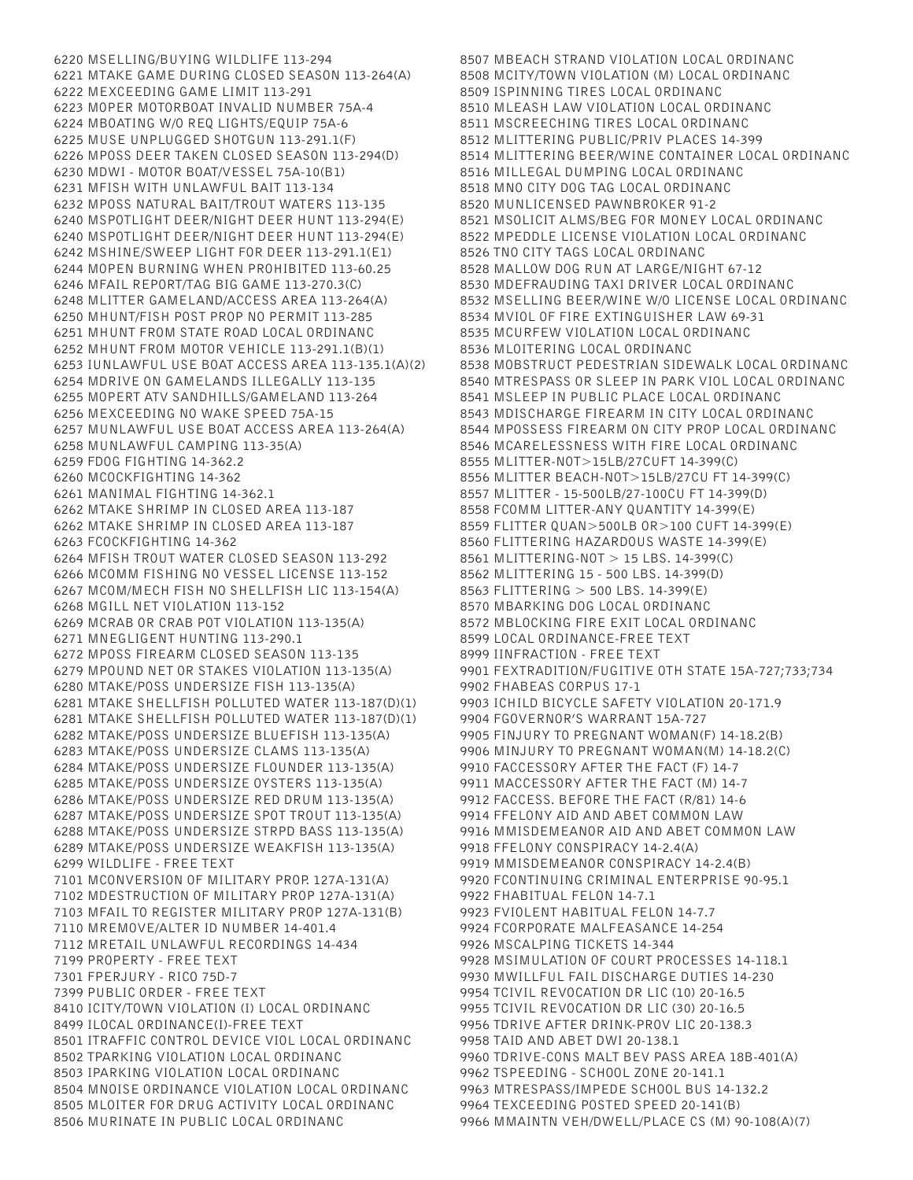6220 MSELLING/BUYING WILDLIFE 113-294 6221 MTAKE GAME DURING CLOSED SEASON 113-264(A) 6222 MEXCEEDING GAME LIMIT 113-291 6223 MOPER MOTORBOAT INVALID NUMBER 75A-4 6224 MBOATING W/O REQ LIGHTS/EQUIP 75A-6 6225 MUSE UNPLUGGED SHOTGUN 113-291.1(F) 6226 MPOSS DEER TAKEN CLOSED SEASON 113-294(D) 6230 MDWI - MOTOR BOAT/VESSEL 75A-10(B1) 6231 MFISH WITH UNLAWFUL BAIT 113-134 6232 MPOSS NATURAL BAIT/TROUT WATERS 113-135 6240 MSPOTLIGHT DEER/NIGHT DEER HUNT 113-294(E) 6240 MSPOTLIGHT DEER/NIGHT DEER HUNT 113-294(E) 6242 MSHINE/SWEEP LIGHT FOR DEER 113-291.1(E1) 6244 MOPEN BURNING WHEN PROHIBITED 113-60.25 6246 MFAIL REPORT/TAG BIG GAME 113-270.3(C) 6248 MLITTER GAMELAND/ACCESS AREA 113-264(A) 6250 MHUNT/FISH POST PROP NO PERMIT 113-285 6251 MHUNT FROM STATE ROAD LOCAL ORDINANC 6252 MHUNT FROM MOTOR VEHICLE 113-291.1(B)(1) 6253 IUNLAWFUL USE BOAT ACCESS AREA 113-135.1(A)(2) 6254 MDRIVE ON GAMELANDS ILLEGALLY 113-135 6255 MOPERT ATV SANDHILLS/GAMELAND 113-264 6256 MEXCEEDING NO WAKE SPEED 75A-15 6257 MUNLAWFUL USE BOAT ACCESS AREA 113-264(A) 6258 MUNLAWFUL CAMPING 113-35(A) 6259 FDOG FIGHTING 14-362.2 6260 MCOCKFIGHTING 14-362 6261 MANIMAL FIGHTING 14-362.1 6262 MTAKE SHRIMP IN CLOSED AREA 113-187 6262 MTAKE SHRIMP IN CLOSED AREA 113-187 6263 FCOCKFIGHTING 14-362 6264 MFISH TROUT WATER CLOSED SEASON 113-292 6266 MCOMM FISHING NO VESSEL LICENSE 113-152 6267 MCOM/MECH FISH NO SHELLFISH LIC 113-154(A) 6268 MGILL NET VIOLATION 113-152 6269 MCRAB OR CRAB POT VIOLATION 113-135(A) 6271 MNEGLIGENT HUNTING 113-290.1 6272 MPOSS FIREARM CLOSED SEASON 113-135 6279 MPOUND NET OR STAKES VIOLATION 113-135(A) 6280 MTAKE/POSS UNDERSIZE FISH 113-135(A) 6281 MTAKE SHELLFISH POLLUTED WATER 113-187(D)(1) 6281 MTAKE SHELLFISH POLLUTED WATER 113-187(D)(1) 6282 MTAKE/POSS UNDERSIZE BLUEFISH 113-135(A) 6283 MTAKE/POSS UNDERSIZE CLAMS 113-135(A) 6284 MTAKE/POSS UNDERSIZE FLOUNDER 113-135(A) 6285 MTAKE/POSS UNDERSIZE OYSTERS 113-135(A) 6286 MTAKE/POSS UNDERSIZE RED DRUM 113-135(A) 6287 MTAKE/POSS UNDERSIZE SPOT TROUT 113-135(A) 6288 MTAKE/POSS UNDERSIZE STRPD BASS 113-135(A) 6289 MTAKE/POSS UNDERSIZE WEAKFISH 113-135(A) 6299 WILDLIFE - FREE TEXT 7101 MCONVERSION OF MILITARY PROP. 127A-131(A) 7102 MDESTRUCTION OF MILITARY PROP 127A-131(A) 7103 MFAIL TO REGISTER MILITARY PROP 127A-131(B) 7110 MREMOVE/ALTER ID NUMBER 14-401.4 7112 MRETAIL UNLAWFUL RECORDINGS 14-434 7199 PROPERTY - FREE TEXT 7301 FPERJURY - RICO 75D-7 7399 PUBLIC ORDER - FREE TEXT 8410 ICITY/TOWN VIOLATION (I) LOCAL ORDINANC 8499 ILOCAL ORDINANCE(I)-FREE TEXT 8501 ITRAFFIC CONTROL DEVICE VIOL LOCAL ORDINANC 8502 TPARKING VIOLATION LOCAL ORDINANC 8503 IPARKING VIOLATION LOCAL ORDINANC 8504 MNOISE ORDINANCE VIOLATION LOCAL ORDINANC 8505 MLOITER FOR DRUG ACTIVITY LOCAL ORDINANC 8506 MURINATE IN PUBLIC LOCAL ORDINANC

8507 MBEACH STRAND VIOLATION LOCAL ORDINANC 8508 MCITY/TOWN VIOLATION (M) LOCAL ORDINANC 8509 ISPINNING TIRES LOCAL ORDINANC 8510 MLEASH LAW VIOLATION LOCAL ORDINANC 8511 MSCREECHING TIRES LOCAL ORDINANC 8512 MLITTERING PUBLIC/PRIV PLACES 14-399 8514 MLITTERING BEER/WINE CONTAINER LOCAL ORDINANC 8516 MILLEGAL DUMPING LOCAL ORDINANC 8518 MNO CITY DOG TAG LOCAL ORDINANC 8520 MUNLICENSED PAWNBROKER 91-2 8521 MSOLICIT ALMS/BEG FOR MONEY LOCAL ORDINANC 8522 MPEDDLE LICENSE VIOLATION LOCAL ORDINANC 8526 TNO CITY TAGS LOCAL ORDINANC 8528 MALLOW DOG RUN AT LARGE/NIGHT 67-12 8530 MDEFRAUDING TAXI DRIVER LOCAL ORDINANC 8532 MSELLING BEER/WINE W/O LICENSE LOCAL ORDINANC 8534 MVIOL OF FIRE EXTINGUISHER LAW 69-31 8535 MCURFEW VIOLATION LOCAL ORDINANC 8536 MLOITERING LOCAL ORDINANC 8538 MOBSTRUCT PEDESTRIAN SIDEWALK LOCAL ORDINANC 8540 MTRESPASS OR SLEEP IN PARK VIOL LOCAL ORDINANC 8541 MSLEEP IN PUBLIC PLACE LOCAL ORDINANC 8543 MDISCHARGE FIREARM IN CITY LOCAL ORDINANC 8544 MPOSSESS FIREARM ON CITY PROP LOCAL ORDINANC 8546 MCARELESSNESS WITH FIRE LOCAL ORDINANC 8555 MLITTER-NOT>15LB/27CUFT 14-399(C) 8556 MLITTER BEACH-NOT>15LB/27CU FT 14-399(C) 8557 MLITTER - 15-500LB/27-100CU FT 14-399(D) 8558 FCOMM LITTER-ANY QUANTITY 14-399(E) 8559 FLITTER QUAN>500LB OR>100 CUFT 14-399(E) 8560 FLITTERING HAZARDOUS WASTE 14-399(E) 8561 MLITTERING-NOT > 15 LBS. 14-399(C) 8562 MLITTERING 15 - 500 LBS. 14-399(D) 8563 FLITTERING > 500 LBS. 14-399(E) 8570 MBARKING DOG LOCAL ORDINANC 8572 MBLOCKING FIRE EXIT LOCAL ORDINANC 8599 LOCAL ORDINANCE-FREE TEXT 8999 IINFRACTION - FREE TEXT 9901 FEXTRADITION/FUGITIVE OTH STATE 15A-727;733;734 9902 FHABEAS CORPUS 17-1 9903 ICHILD BICYCLE SAFETY VIOLATION 20-171.9 9904 FGOVERNOR'S WARRANT 15A-727 9905 FINJURY TO PREGNANT WOMAN(F) 14-18.2(B) 9906 MINJURY TO PREGNANT WOMAN(M) 14-18.2(C) 9910 FACCESSORY AFTER THE FACT (F) 14-7 9911 MACCESSORY AFTER THE FACT (M) 14-7 9912 FACCESS. BEFORE THE FACT (R/81) 14-6 9914 FFELONY AID AND ABET COMMON LAW 9916 MMISDEMEANOR AID AND ABET COMMON LAW 9918 FFELONY CONSPIRACY 14-2.4(A) 9919 MMISDEMEANOR CONSPIRACY 14-2.4(B) 9920 FCONTINUING CRIMINAL ENTERPRISE 90-95.1 9922 FHABITUAL FELON 14-7.1 9923 FVIOLENT HABITUAL FELON 14-7.7 9924 FCORPORATE MALFEASANCE 14-254 9926 MSCALPING TICKETS 14-344 9928 MSIMULATION OF COURT PROCESSES 14-118.1 9930 MWILLFUL FAIL DISCHARGE DUTIES 14-230 9954 TCIVIL REVOCATION DR LIC (10) 20-16.5 9955 TCIVIL REVOCATION DR LIC (30) 20-16.5 9956 TDRIVE AFTER DRINK-PROV LIC 20-138.3 9958 TAID AND ABET DWI 20-138.1 9960 TDRIVE-CONS MALT BEV PASS AREA 18B-401(A) 9962 TSPEEDING - SCHOOL ZONE 20-141.1 9963 MTRESPASS/IMPEDE SCHOOL BUS 14-132.2 9964 TEXCEEDING POSTED SPEED 20-141(B) 9966 MMAINTN VEH/DWELL/PLACE CS (M) 90-108(A)(7)